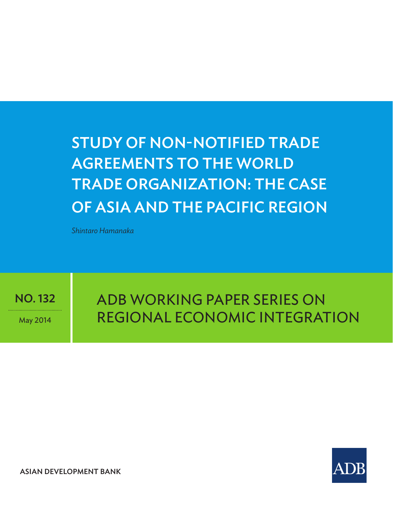# Study of Non-Notified Trade Agreements to the WORLD TRADE ORGANIZATION: The Case of Asia AND THE Pacific Region

*Shintaro Hamanaka*

NO. 132

May 2014

adb Working paper Series on Regional Economic Integration



ASIAN DEVELOPMENT BANK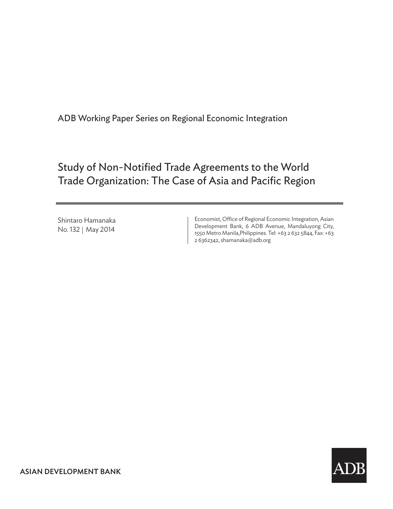ADB Working Paper Series on Regional Economic Integration

# Study of Non-Notified Trade Agreements to the World Trade Organization: The Case of Asia and Pacific Region

Shintaro Hamanaka\* No. 132 | May 2014

Economist, Office of Regional Economic Integration, Asian Development Bank, 6 ADB Avenue, Mandaluyong City, 1550 Metro Manila,Philippines. Tel: +63 2 632 5844, Fax: +63 2 6362342, shamanaka@adb.org

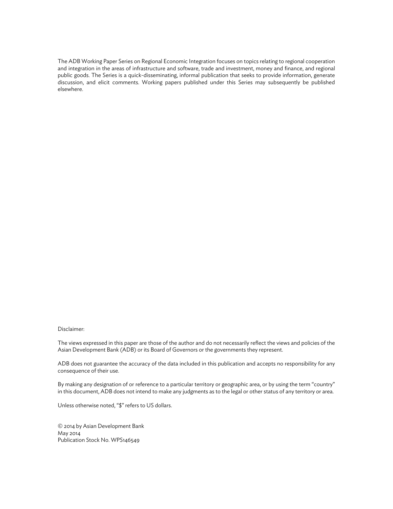The ADB Working Paper Series on Regional Economic Integration focuses on topics relating to regional cooperation and integration in the areas of infrastructure and software, trade and investment, money and finance, and regional public goods. The Series is a quick-disseminating, informal publication that seeks to provide information, generate discussion, and elicit comments. Working papers published under this Series may subsequently be published elsewhere.

#### Disclaimer:

The views expressed in this paper are those of the author and do not necessarily reflect the views and policies of the Asian Development Bank (ADB) or its Board of Governors or the governments they represent.

ADB does not guarantee the accuracy of the data included in this publication and accepts no responsibility for any consequence of their use.

By making any designation of or reference to a particular territory or geographic area, or by using the term "country" in this document, ADB does not intend to make any judgments as to the legal or other status of any territory or area.

Unless otherwise noted, "\$" refers to US dollars.

© 2014 by Asian Development Bank May 2014 Publication Stock No. WPS146549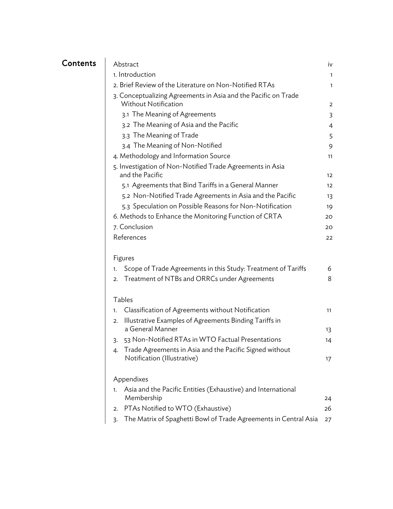# Contents

| Abstract                                                                                      | iv           |
|-----------------------------------------------------------------------------------------------|--------------|
| 1. Introduction                                                                               | $\mathbf{1}$ |
| 2. Brief Review of the Literature on Non-Notified RTAs                                        | 1            |
| 3. Conceptualizing Agreements in Asia and the Pacific on Trade<br><b>Without Notification</b> | 2            |
| 3.1 The Meaning of Agreements                                                                 | 3            |
| 3.2 The Meaning of Asia and the Pacific                                                       | 4            |
| 3.3 The Meaning of Trade                                                                      | 5            |
| 3.4 The Meaning of Non-Notified                                                               | 9            |
| 4. Methodology and Information Source                                                         | 11           |
| 5. Investigation of Non-Notified Trade Agreements in Asia                                     |              |
| and the Pacific                                                                               | 12           |
| 5.1 Agreements that Bind Tariffs in a General Manner                                          | 12           |
| 5.2 Non-Notified Trade Agreements in Asia and the Pacific                                     | 13           |
| 5.3 Speculation on Possible Reasons for Non-Notification                                      | 19           |
| 6. Methods to Enhance the Monitoring Function of CRTA                                         | 20           |
| 7. Conclusion                                                                                 | 20           |
| References                                                                                    | 22           |
|                                                                                               |              |
| Figures                                                                                       |              |
| Scope of Trade Agreements in this Study: Treatment of Tariffs<br>1.                           | 6            |
| Treatment of NTBs and ORRCs under Agreements<br>2.                                            | 8            |

#### Tables

|              | 1. Classification of Agreements without Notification                                   | 11 |
|--------------|----------------------------------------------------------------------------------------|----|
|              | 2. Illustrative Examples of Agreements Binding Tariffs in<br>a General Manner          | 13 |
|              | 3. 53 Non-Notified RTAs in WTO Factual Presentations                                   | 14 |
| $\mathbf{4}$ | Trade Agreements in Asia and the Pacific Signed without<br>Notification (Illustrative) | 17 |
|              | Appendixes                                                                             |    |
|              | 1. Asia and the Pacific Entities (Exhaustive) and International                        |    |

| $\sim$ . The contract of the contract $\sim$ . The contract of the contract of the contract of the contract of the contract of the contract of the contract of the contract of the contract of the contract of the contract of th |     |
|-----------------------------------------------------------------------------------------------------------------------------------------------------------------------------------------------------------------------------------|-----|
| Membership                                                                                                                                                                                                                        | 24  |
| 2. PTAs Notified to WTO (Exhaustive)                                                                                                                                                                                              | 26. |
| 3. The Matrix of Spaghetti Bowl of Trade Agreements in Central Asia 27                                                                                                                                                            |     |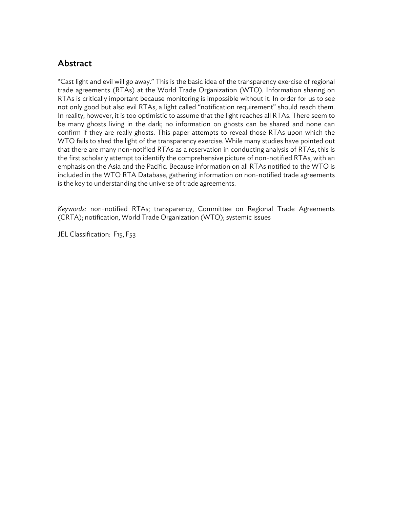# Abstract

"Cast light and evil will go away." This is the basic idea of the transparency exercise of regional trade agreements (RTAs) at the World Trade Organization (WTO). Information sharing on RTAs is critically important because monitoring is impossible without it. In order for us to see not only good but also evil RTAs, a light called "notification requirement" should reach them. In reality, however, it is too optimistic to assume that the light reaches all RTAs. There seem to be many ghosts living in the dark; no information on ghosts can be shared and none can confirm if they are really ghosts. This paper attempts to reveal those RTAs upon which the WTO fails to shed the light of the transparency exercise. While many studies have pointed out that there are many non-notified RTAs as a reservation in conducting analysis of RTAs, this is the first scholarly attempt to identify the comprehensive picture of non-notified RTAs, with an emphasis on the Asia and the Pacific. Because information on all RTAs notified to the WTO is included in the WTO RTA Database, gathering information on non-notified trade agreements is the key to understanding the universe of trade agreements.

*Keywords:* non-notified RTAs; transparency, Committee on Regional Trade Agreements (CRTA); notification, World Trade Organization (WTO); systemic issues

JEL Classification: F15, F53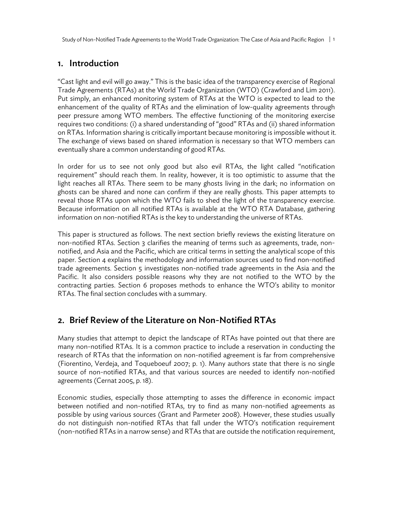Study of Non-Notified Trade Agreements to the World Trade Organization: The Case of Asia and Pacific Region | 1

## 1. Introduction

"Cast light and evil will go away." This is the basic idea of the transparency exercise of Regional Trade Agreements (RTAs) at the World Trade Organization (WTO) (Crawford and Lim 2011). Put simply, an enhanced monitoring system of RTAs at the WTO is expected to lead to the enhancement of the quality of RTAs and the elimination of low-quality agreements through peer pressure among WTO members. The effective functioning of the monitoring exercise requires two conditions: (i) a shared understanding of "good" RTAs and (ii) shared information on RTAs. Information sharing is critically important because monitoring is impossible without it. The exchange of views based on shared information is necessary so that WTO members can eventually share a common understanding of good RTAs.

In order for us to see not only good but also evil RTAs, the light called "notification requirement" should reach them. In reality, however, it is too optimistic to assume that the light reaches all RTAs. There seem to be many ghosts living in the dark; no information on ghosts can be shared and none can confirm if they are really ghosts. This paper attempts to reveal those RTAs upon which the WTO fails to shed the light of the transparency exercise. Because information on all notified RTAs is available at the WTO RTA Database, gathering information on non-notified RTAs is the key to understanding the universe of RTAs.

This paper is structured as follows. The next section briefly reviews the existing literature on non-notified RTAs. Section 3 clarifies the meaning of terms such as agreements, trade, nonnotified, and Asia and the Pacific, which are critical terms in setting the analytical scope of this paper. Section 4 explains the methodology and information sources used to find non-notified trade agreements. Section 5 investigates non-notified trade agreements in the Asia and the Pacific. It also considers possible reasons why they are not notified to the WTO by the contracting parties. Section 6 proposes methods to enhance the WTO's ability to monitor RTAs. The final section concludes with a summary.

# 2. Brief Review of the Literature on Non-Notified RTAs

Many studies that attempt to depict the landscape of RTAs have pointed out that there are many non-notified RTAs. It is a common practice to include a reservation in conducting the research of RTAs that the information on non-notified agreement is far from comprehensive (Fiorentino, Verdeja, and Toqueboeuf 2007; p. 1). Many authors state that there is no single source of non-notified RTAs, and that various sources are needed to identify non-notified agreements (Cernat 2005, p. 18).

Economic studies, especially those attempting to asses the difference in economic impact between notified and non-notified RTAs, try to find as many non-notified agreements as possible by using various sources (Grant and Parmeter 2008). However, these studies usually do not distinguish non-notified RTAs that fall under the WTO's notification requirement (non-notified RTAs in a narrow sense) and RTAs that are outside the notification requirement,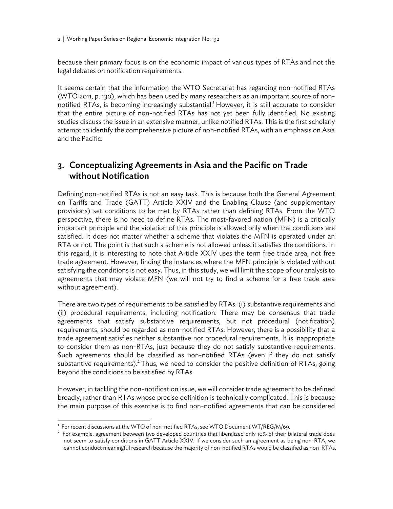2 | Working Paper Series on Regional Economic Integration No. 132

because their primary focus is on the economic impact of various types of RTAs and not the legal debates on notification requirements.

It seems certain that the information the WTO Secretariat has regarding non-notified RTAs (WTO 2011, p. 130), which has been used by many researchers as an important source of nonnotified RTAs, is becoming increasingly substantial.<sup>1</sup> However, it is still accurate to consider that the entire picture of non-notified RTAs has not yet been fully identified. No existing studies discuss the issue in an extensive manner, unlike notified RTAs. This is the first scholarly attempt to identify the comprehensive picture of non-notified RTAs, with an emphasis on Asia and the Pacific.

# 3. Conceptualizing Agreements in Asia and the Pacific on Trade without Notification

Defining non-notified RTAs is not an easy task. This is because both the General Agreement on Tariffs and Trade (GATT) Article XXIV and the Enabling Clause (and supplementary provisions) set conditions to be met by RTAs rather than defining RTAs. From the WTO perspective, there is no need to define RTAs. The most-favored nation (MFN) is a critically important principle and the violation of this principle is allowed only when the conditions are satisfied. It does not matter whether a scheme that violates the MFN is operated under an RTA or not. The point is that such a scheme is not allowed unless it satisfies the conditions. In this regard, it is interesting to note that Article XXIV uses the term free trade area, not free trade agreement. However, finding the instances where the MFN principle is violated without satisfying the conditions is not easy. Thus, in this study, we will limit the scope of our analysis to agreements that may violate MFN (we will not try to find a scheme for a free trade area without agreement).

There are two types of requirements to be satisfied by RTAs: (i) substantive requirements and (ii) procedural requirements, including notification. There may be consensus that trade agreements that satisfy substantive requirements, but not procedural (notification) requirements, should be regarded as non-notified RTAs. However, there is a possibility that a trade agreement satisfies neither substantive nor procedural requirements. It is inappropriate to consider them as non-RTAs, just because they do not satisfy substantive requirements. Such agreements should be classified as non-notified RTAs (even if they do not satisfy substantive requirements). $^{2}$  Thus, we need to consider the positive definition of RTAs, going beyond the conditions to be satisfied by RTAs.

However, in tackling the non-notification issue, we will consider trade agreement to be defined broadly, rather than RTAs whose precise definition is technically complicated. This is because the main purpose of this exercise is to find non-notified agreements that can be considered

-

For recent discussions at the WTO of non-notified RTAs, see WTO Document WT/REG/M/69.<br><sup>2</sup> For example, assessment between two developed countries that liberalized only 10% of their h

 $2$  For example, agreement between two developed countries that liberalized only 10% of their bilateral trade does not seem to satisfy conditions in GATT Article XXIV. If we consider such an agreement as being non-RTA, we cannot conduct meaningful research because the majority of non-notified RTAs would be classified as non-RTAs.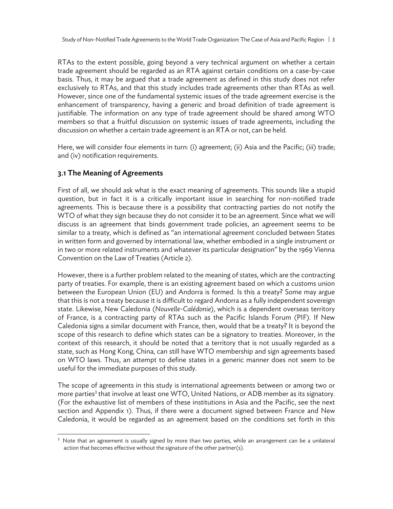RTAs to the extent possible, going beyond a very technical argument on whether a certain trade agreement should be regarded as an RTA against certain conditions on a case-by-case basis. Thus, it may be argued that a trade agreement as defined in this study does not refer exclusively to RTAs, and that this study includes trade agreements other than RTAs as well. However, since one of the fundamental systemic issues of the trade agreement exercise is the enhancement of transparency, having a generic and broad definition of trade agreement is justifiable. The information on any type of trade agreement should be shared among WTO members so that a fruitful discussion on systemic issues of trade agreements, including the discussion on whether a certain trade agreement is an RTA or not, can be held.

Here, we will consider four elements in turn: (i) agreement; (ii) Asia and the Pacific; (iii) trade; and (iv) notification requirements.

## 3.1 The Meaning of Agreements

-

First of all, we should ask what is the exact meaning of agreements. This sounds like a stupid question, but in fact it is a critically important issue in searching for non-notified trade agreements. This is because there is a possibility that contracting parties do not notify the WTO of what they sign because they do not consider it to be an agreement. Since what we will discuss is an agreement that binds government trade policies, an agreement seems to be similar to a treaty, which is defined as "an international agreement concluded between States in written form and governed by international law, whether embodied in a single instrument or in two or more related instruments and whatever its particular designation" by the 1969 Vienna Convention on the Law of Treaties (Article 2).

However, there is a further problem related to the meaning of states, which are the contracting party of treaties. For example, there is an existing agreement based on which a customs union between the European Union (EU) and Andorra is formed. Is this a treaty? Some may argue that this is not a treaty because it is difficult to regard Andorra as a fully independent sovereign state. Likewise, New Caledonia (*Nouvelle-Calédonie*), which is a dependent overseas territory of France, is a contracting party of RTAs such as the Pacific Islands Forum (PIF). If New Caledonia signs a similar document with France, then, would that be a treaty? It is beyond the scope of this research to define which states can be a signatory to treaties. Moreover, in the context of this research, it should be noted that a territory that is not usually regarded as a state, such as Hong Kong, China, can still have WTO membership and sign agreements based on WTO laws. Thus, an attempt to define states in a generic manner does not seem to be useful for the immediate purposes of this study.

The scope of agreements in this study is international agreements between or among two or more parties<sup>3</sup> that involve at least one WTO, United Nations, or ADB member as its signatory. (For the exhaustive list of members of these institutions in Asia and the Pacific, see the next section and Appendix 1). Thus, if there were a document signed between France and New Caledonia, it would be regarded as an agreement based on the conditions set forth in this

 $3$  Note that an agreement is usually signed by more than two parties, while an arrangement can be a unilateral action that becomes effective without the signature of the other partner(s).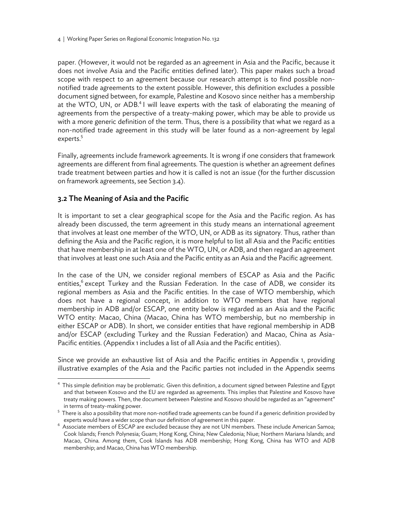4 | Working Paper Series on Regional Economic Integration No. 132

paper. (However, it would not be regarded as an agreement in Asia and the Pacific, because it does not involve Asia and the Pacific entities defined later). This paper makes such a broad scope with respect to an agreement because our research attempt is to find possible nonnotified trade agreements to the extent possible. However, this definition excludes a possible document signed between, for example, Palestine and Kosovo since neither has a membership at the WTO, UN, or ADB.<sup>4</sup> I will leave experts with the task of elaborating the meaning of agreements from the perspective of a treaty-making power, which may be able to provide us with a more generic definition of the term. Thus, there is a possibility that what we regard as a non-notified trade agreement in this study will be later found as a non-agreement by legal experts.<sup>5</sup>

Finally, agreements include framework agreements. It is wrong if one considers that framework agreements are different from final agreements. The question is whether an agreement defines trade treatment between parties and how it is called is not an issue (for the further discussion on framework agreements, see Section 3.4).

## 3.2 The Meaning of Asia and the Pacific

 $\overline{a}$ 

It is important to set a clear geographical scope for the Asia and the Pacific region. As has already been discussed, the term agreement in this study means an international agreement that involves at least one member of the WTO, UN, or ADB as its signatory. Thus, rather than defining the Asia and the Pacific region, it is more helpful to list all Asia and the Pacific entities that have membership in at least one of the WTO, UN, or ADB, and then regard an agreement that involves at least one such Asia and the Pacific entity as an Asia and the Pacific agreement.

In the case of the UN, we consider regional members of ESCAP as Asia and the Pacific entities,<sup>6</sup> except Turkey and the Russian Federation. In the case of ADB, we consider its regional members as Asia and the Pacific entities. In the case of WTO membership, which does not have a regional concept, in addition to WTO members that have regional membership in ADB and/or ESCAP, one entity below is regarded as an Asia and the Pacific WTO entity: Macao, China (Macao, China has WTO membership, but no membership in either ESCAP or ADB). In short, we consider entities that have regional membership in ADB and/or ESCAP (excluding Turkey and the Russian Federation) and Macao, China as Asia-Pacific entities. (Appendix 1 includes a list of all Asia and the Pacific entities).

Since we provide an exhaustive list of Asia and the Pacific entities in Appendix 1, providing illustrative examples of the Asia and the Pacific parties not included in the Appendix seems

<sup>&</sup>lt;sup>4</sup> This simple definition may be problematic. Given this definition, a document signed between Palestine and Egypt and that between Kosovo and the EU are regarded as agreements. This implies that Palestine and Kosovo have treaty making powers. Then, the document between Palestine and Kosovo should be regarded as an "agreement" in terms of treaty-making power.

<sup>&</sup>lt;sup>5</sup> There is also a possibility that more non-notified trade agreements can be found if a generic definition provided by

experts would have a wider scope than our definition of agreement in this paper.<br><sup>6</sup> Associate members of ESCAP are excluded because they are not UN members. These include American Samoa; Cook Islands; French Polynesia; Guam; Hong Kong, China; New Caledonia; Niue; Northern Mariana Islands; and Macao, China. Among them, Cook Islands has ADB membership; Hong Kong, China has WTO and ADB membership; and Macao, China has WTO membership.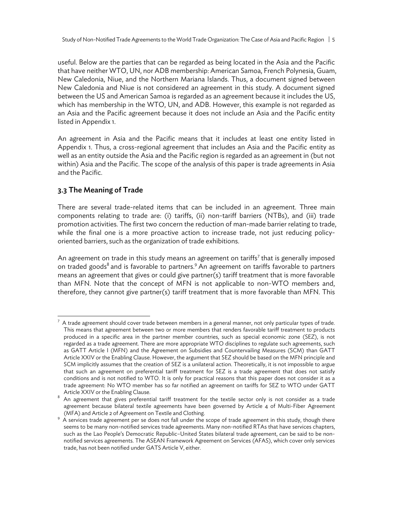useful. Below are the parties that can be regarded as being located in the Asia and the Pacific that have neither WTO, UN, nor ADB membership: American Samoa, French Polynesia, Guam, New Caledonia, Niue, and the Northern Mariana Islands. Thus, a document signed between New Caledonia and Niue is not considered an agreement in this study. A document signed between the US and American Samoa is regarded as an agreement because it includes the US, which has membership in the WTO, UN, and ADB. However, this example is not regarded as an Asia and the Pacific agreement because it does not include an Asia and the Pacific entity listed in Appendix 1.

An agreement in Asia and the Pacific means that it includes at least one entity listed in Appendix 1. Thus, a cross-regional agreement that includes an Asia and the Pacific entity as well as an entity outside the Asia and the Pacific region is regarded as an agreement in (but not within) Asia and the Pacific. The scope of the analysis of this paper is trade agreements in Asia and the Pacific.

## 3.3 The Meaning of Trade

There are several trade-related items that can be included in an agreement. Three main components relating to trade are: (i) tariffs, (ii) non-tariff barriers (NTBs), and (iii) trade promotion activities. The first two concern the reduction of man-made barrier relating to trade, while the final one is a more proactive action to increase trade, not just reducing policyoriented barriers, such as the organization of trade exhibitions.

An agreement on trade in this study means an agreement on tariffs<sup>7</sup> that is generally imposed on traded goods $^8$  and is favorable to partners. $^9$  An agreement on tariffs favorable to partners means an agreement that gives or could give partner(s) tariff treatment that is more favorable than MFN. Note that the concept of MFN is not applicable to non-WTO members and, therefore, they cannot give partner(s) tariff treatment that is more favorable than MFN. This

 $^7$  A trade agreement should cover trade between members in a general manner, not only particular types of trade. This means that agreement between two or more members that renders favorable tariff treatment to products produced in a specific area in the partner member countries, such as special economic zone (SEZ), is not regarded as a trade agreement. There are more appropriate WTO disciplines to regulate such agreements, such as GATT Article I (MFN) and the Agreement on Subsidies and Countervailing Measures (SCM) than GATT Article XXIV or the Enabling Clause. However, the argument that SEZ should be based on the MFN principle and SCM implicitly assumes that the creation of SEZ is a unilateral action. Theoretically, it is not impossible to argue that such an agreement on preferential tariff treatment for SEZ is a trade agreement that does not satisfy conditions and is not notified to WTO. It is only for practical reasons that this paper does not consider it as a trade agreement: No WTO member has so far notified an agreement on tariffs for SEZ to WTO under GATT

Article XXIV or the Enabling Clause.<br><sup>8</sup> An agreement that gives preferential tariff treatment for the textile sector only is not consider as a trade agreement because bilateral textile agreements have been governed by Article 4 of Multi-Fiber Agreement (MFA) and Article 2 of Agreement on Textile and Clothing. 9

<sup>&</sup>lt;sup>9</sup> A services trade agreement per se does not fall under the scope of trade agreement in this study, though there seems to be many non-notified services trade agreements. Many non-notified RTAs that have services chapters, such as the Lao People's Democratic Republic–United States bilateral trade agreement, can be said to be nonnotified services agreements. The ASEAN Framework Agreement on Services (AFAS), which cover only services trade, has not been notified under GATS Article V, either.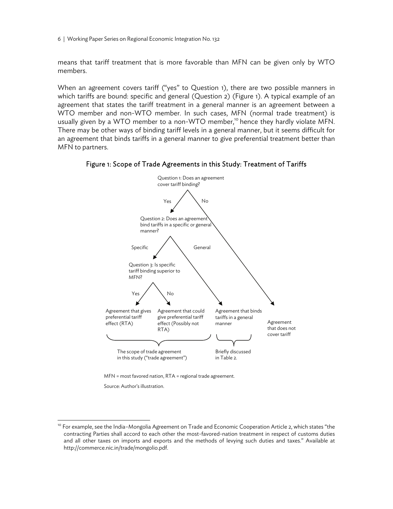6 | Working Paper Series on Regional Economic Integration No. 132

means that tariff treatment that is more favorable than MFN can be given only by WTO members.

When an agreement covers tariff ("yes" to Question 1), there are two possible manners in which tariffs are bound: specific and general (Question 2) (Figure 1). A typical example of an agreement that states the tariff treatment in a general manner is an agreement between a WTO member and non-WTO member. In such cases, MFN (normal trade treatment) is usually given by a WTO member to a non-WTO member,<sup>10</sup> hence they hardly violate MFN. There may be other ways of binding tariff levels in a general manner, but it seems difficult for an agreement that binds tariffs in a general manner to give preferential treatment better than MFN to partners.





MFN = most favored nation, RTA = regional trade agreement.

Source: Author's illustration.

<sup>&</sup>lt;sup>10</sup> For example, see the India-Mongolia Agreement on Trade and Economic Cooperation Article 2, which states "the contracting Parties shall accord to each other the most-favored-nation treatment in respect of customs duties and all other taxes on imports and exports and the methods of levying such duties and taxes." Available at http://commerce.nic.in/trade/mongolio.pdf.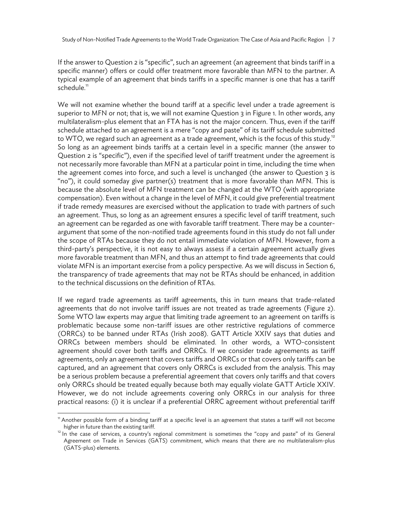If the answer to Question 2 is "specific", such an agreement (an agreement that binds tariff in a specific manner) offers or could offer treatment more favorable than MFN to the partner. A typical example of an agreement that binds tariffs in a specific manner is one that has a tariff schedule.<sup>11</sup>

We will not examine whether the bound tariff at a specific level under a trade agreement is superior to MFN or not; that is, we will not examine Question 3 in Figure 1. In other words, any multilateralism-plus element that an FTA has is not the major concern. Thus, even if the tariff schedule attached to an agreement is a mere "copy and paste" of its tariff schedule submitted to WTO, we regard such an agreement as a trade agreement, which is the focus of this study.<sup>12</sup> So long as an agreement binds tariffs at a certain level in a specific manner (the answer to Question 2 is "specific"), even if the specified level of tariff treatment under the agreement is not necessarily more favorable than MFN at a particular point in time, including the time when the agreement comes into force, and such a level is unchanged (the answer to Question 3 is "no"), it could someday give partner(s) treatment that is more favorable than MFN. This is because the absolute level of MFN treatment can be changed at the WTO (with appropriate compensation). Even without a change in the level of MFN, it could give preferential treatment if trade remedy measures are exercised without the application to trade with partners of such an agreement. Thus, so long as an agreement ensures a specific level of tariff treatment, such an agreement can be regarded as one with favorable tariff treatment. There may be a counterargument that some of the non-notified trade agreements found in this study do not fall under the scope of RTAs because they do not entail immediate violation of MFN. However, from a third-party's perspective, it is not easy to always assess if a certain agreement actually gives more favorable treatment than MFN, and thus an attempt to find trade agreements that could violate MFN is an important exercise from a policy perspective. As we will discuss in Section 6, the transparency of trade agreements that may not be RTAs should be enhanced, in addition to the technical discussions on the definition of RTAs.

If we regard trade agreements as tariff agreements, this in turn means that trade-related agreements that do not involve tariff issues are not treated as trade agreements (Figure 2). Some WTO law experts may argue that limiting trade agreement to an agreement on tariffs is problematic because some non-tariff issues are other restrictive regulations of commerce (ORRCs) to be banned under RTAs (Irish 2008). GATT Article XXIV says that duties and ORRCs between members should be eliminated. In other words, a WTO-consistent agreement should cover both tariffs and ORRCs. If we consider trade agreements as tariff agreements, only an agreement that covers tariffs and ORRCs or that covers only tariffs can be captured, and an agreement that covers only ORRCs is excluded from the analysis. This may be a serious problem because a preferential agreement that covers only tariffs and that covers only ORRCs should be treated equally because both may equally violate GATT Article XXIV. However, we do not include agreements covering only ORRCs in our analysis for three practical reasons: (i) it is unclear if a preferential ORRC agreement without preferential tariff

<sup>11</sup> Another possible form of a binding tariff at a specific level is an agreement that states a tariff will not become

higher in future than the existing tariff.<br><sup>12</sup> In the case of services, a country's regional commitment is sometimes the "copy and paste" of its General Agreement on Trade in Services (GATS) commitment, which means that there are no multilateralism-plus (GATS-plus) elements.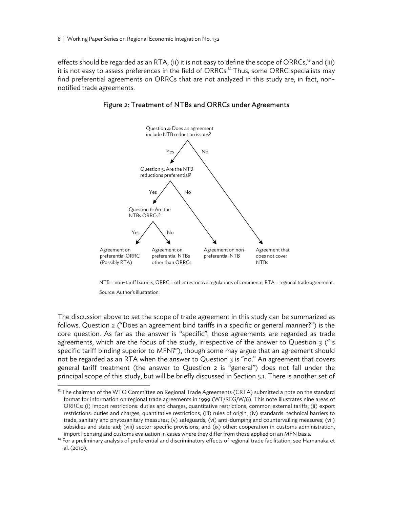effects should be regarded as an RTA, (ii) it is not easy to define the scope of ORRCs,<sup>13</sup> and (iii) it is not easy to assess preferences in the field of ORRCs.<sup>14</sup> Thus, some ORRC specialists may find preferential agreements on ORRCs that are not analyzed in this study are, in fact, nonnotified trade agreements.



#### Figure 2: Treatment of NTBs and ORRCs under Agreements

NTB = non–tariff barriers, ORRC = other restrictive regulations of commerce, RTA = regional trade agreement.

Source: Author's illustration.

The discussion above to set the scope of trade agreement in this study can be summarized as follows. Question 2 ("Does an agreement bind tariffs in a specific or general manner?") is the core question. As far as the answer is "specific", those agreements are regarded as trade agreements, which are the focus of the study, irrespective of the answer to Question 3 ("Is specific tariff binding superior to MFN?"), though some may argue that an agreement should not be regarded as an RTA when the answer to Question 3 is "no." An agreement that covers general tariff treatment (the answer to Question 2 is "general") does not fall under the principal scope of this study, but will be briefly discussed in Section 5.1. There is another set of

<sup>&</sup>lt;sup>13</sup> The chairman of the WTO Committee on Regional Trade Agreements (CRTA) submitted a note on the standard format for information on regional trade agreements in 1999 (WT/REG/W/6). This note illustrates nine areas of ORRCs: (i) import restrictions: duties and charges, quantitative restrictions, common external tariffs; (ii) export restrictions: duties and charges, quantitative restrictions; (iii) rules of origin; (iv) standards: technical barriers to trade, sanitary and phytosanitary measures; (v) safeguards; (vi) anti-dumping and countervailing measures; (vii) subsidies and state-aid; (viii) sector-specific provisions; and (ix) other: cooperation in customs administration,

import licensing and customs evaluation in cases where they differ from those applied on an MFN basis. 14 For a preliminary analysis of preferential and discriminatory effects of regional trade facilitation, see Hamanaka al. (2010).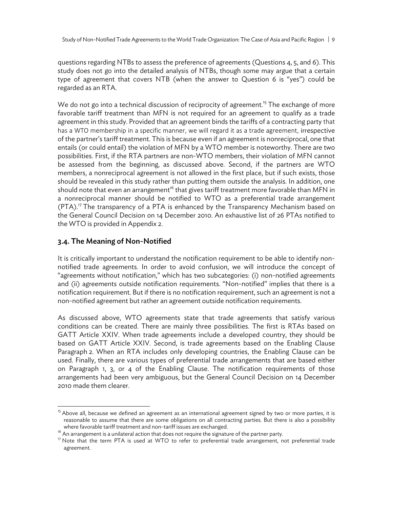questions regarding NTBs to assess the preference of agreements (Questions 4, 5, and 6). This study does not go into the detailed analysis of NTBs, though some may argue that a certain type of agreement that covers NTB (when the answer to Question 6 is "yes") could be regarded as an RTA.

We do not go into a technical discussion of reciprocity of agreement.<sup>15</sup> The exchange of more favorable tariff treatment than MFN is not required for an agreement to qualify as a trade agreement in this study. Provided that an agreement binds the tariffs of a contracting party that has a WTO membership in a specific manner, we will regard it as a trade agreement, irrespective of the partner's tariff treatment. This is because even if an agreement is nonreciprocal, one that entails (or could entail) the violation of MFN by a WTO member is noteworthy. There are two possibilities. First, if the RTA partners are non-WTO members, their violation of MFN cannot be assessed from the beginning, as discussed above. Second, if the partners are WTO members, a nonreciprocal agreement is not allowed in the first place, but if such exists, those should be revealed in this study rather than putting them outside the analysis. In addition, one should note that even an arrangement $^{16}$  that gives tariff treatment more favorable than MFN in a nonreciprocal manner should be notified to WTO as a preferential trade arrangement  $(PTA).<sup>17</sup>$  The transparency of a PTA is enhanced by the Transparency Mechanism based on the General Council Decision on 14 December 2010. An exhaustive list of 26 PTAs notified to the WTO is provided in Appendix 2.

## 3.4. The Meaning of Non-Notified

-

It is critically important to understand the notification requirement to be able to identify nonnotified trade agreements. In order to avoid confusion, we will introduce the concept of "agreements without notification," which has two subcategories: (i) non-notified agreements and (ii) agreements outside notification requirements. "Non-notified" implies that there is a notification requirement. But if there is no notification requirement, such an agreement is not a non-notified agreement but rather an agreement outside notification requirements.

As discussed above, WTO agreements state that trade agreements that satisfy various conditions can be created. There are mainly three possibilities. The first is RTAs based on GATT Article XXIV. When trade agreements include a developed country, they should be based on GATT Article XXIV. Second, is trade agreements based on the Enabling Clause Paragraph 2. When an RTA includes only developing countries, the Enabling Clause can be used. Finally, there are various types of preferential trade arrangements that are based either on Paragraph 1, 3, or 4 of the Enabling Clause. The notification requirements of those arrangements had been very ambiguous, but the General Council Decision on 14 December 2010 made them clearer.

<sup>&</sup>lt;sup>15</sup> Above all, because we defined an agreement as an international agreement signed by two or more parties, it is reasonable to assume that there are some obligations on all contracting parties. But there is also a possibility

where favorable tariff treatment and non-tariff issues are exchanged.<br><sup>16</sup> An arrangement is a unilateral action that does not require the signature of the partner party.<br><sup>17</sup> Note that the term PTA is used at WTO to refe agreement.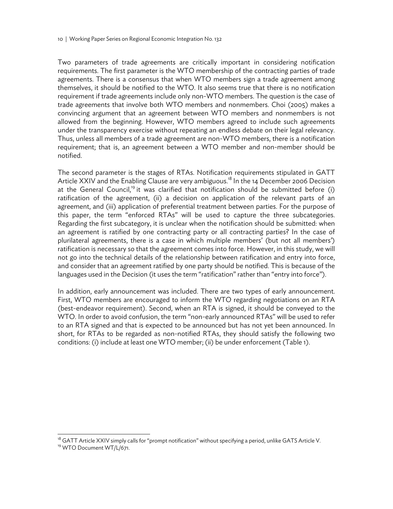Two parameters of trade agreements are critically important in considering notification requirements. The first parameter is the WTO membership of the contracting parties of trade agreements. There is a consensus that when WTO members sign a trade agreement among themselves, it should be notified to the WTO. It also seems true that there is no notification requirement if trade agreements include only non-WTO members. The question is the case of trade agreements that involve both WTO members and nonmembers. Choi (2005) makes a convincing argument that an agreement between WTO members and nonmembers is not allowed from the beginning. However, WTO members agreed to include such agreements under the transparency exercise without repeating an endless debate on their legal relevancy. Thus, unless all members of a trade agreement are non-WTO members, there is a notification requirement; that is, an agreement between a WTO member and non-member should be notified.

The second parameter is the stages of RTAs. Notification requirements stipulated in GATT Article XXIV and the Enabling Clause are very ambiguous.<sup>18</sup> In the 14 December 2006 Decision at the General Council,<sup>19</sup> it was clarified that notification should be submitted before (i) ratification of the agreement, (ii) a decision on application of the relevant parts of an agreement, and (iii) application of preferential treatment between parties. For the purpose of this paper, the term "enforced RTAs" will be used to capture the three subcategories. Regarding the first subcategory, it is unclear when the notification should be submitted: when an agreement is ratified by one contracting party or all contracting parties? In the case of plurilateral agreements, there is a case in which multiple members' (but not all members') ratification is necessary so that the agreement comes into force. However, in this study, we will not go into the technical details of the relationship between ratification and entry into force, and consider that an agreement ratified by one party should be notified. This is because of the languages used in the Decision (it uses the term "ratification" rather than "entry into force").

In addition, early announcement was included. There are two types of early announcement. First, WTO members are encouraged to inform the WTO regarding negotiations on an RTA (best-endeavor requirement). Second, when an RTA is signed, it should be conveyed to the WTO. In order to avoid confusion, the term "non-early announced RTAs" will be used to refer to an RTA signed and that is expected to be announced but has not yet been announced. In short, for RTAs to be regarded as non-notified RTAs, they should satisfy the following two conditions: (i) include at least one WTO member; (ii) be under enforcement (Table 1).

 $\overline{a}$ 

<sup>&</sup>lt;sup>18</sup> GATT Article XXIV simply calls for "prompt notification" without specifying a period, unlike GATS Article V.

<sup>&</sup>lt;sup>19</sup> WTO Document WT/L/671.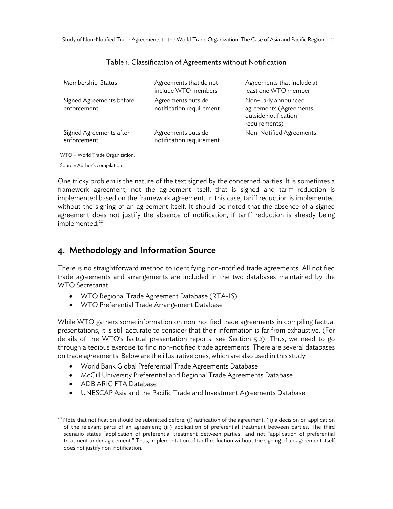Study of Non-Notified Trade Agreements to the World Trade Organization: The Case of Asia and Pacific Region | 11

| Membership Status                       | Agreements that do not<br>include WTO members  | Agreements that include at<br>least one WTO member                                     |
|-----------------------------------------|------------------------------------------------|----------------------------------------------------------------------------------------|
| Signed Agreements before<br>enforcement | Agreements outside<br>notification requirement | Non-Early announced<br>agreements (Agreements<br>outside notification<br>requirements) |
| Signed Agreements after<br>enforcement  | Agreements outside<br>notification requirement | Non-Notified Agreements                                                                |

#### Table 1: Classification of Agreements without Notification

WTO = World Trade Organization.

Source: Author's compilation.

One tricky problem is the nature of the text signed by the concerned parties. It is sometimes a framework agreement, not the agreement itself, that is signed and tariff reduction is implemented based on the framework agreement. In this case, tariff reduction is implemented without the signing of an agreement itself. It should be noted that the absence of a signed agreement does not justify the absence of notification, if tariff reduction is already being implemented.<sup>20</sup>

## 4. Methodology and Information Source

There is no straightforward method to identifying non-notified trade agreements. All notified trade agreements and arrangements are included in the two databases maintained by the WTO Secretariat:

- WTO Regional Trade Agreement Database (RTA-IS)
- WTO Preferential Trade Arrangement Database

While WTO gathers some information on non-notified trade agreements in compiling factual presentations, it is still accurate to consider that their information is far from exhaustive. (For details of the WTO's factual presentation reports, see Section 5.2). Thus, we need to go through a tedious exercise to find non-notified trade agreements. There are several databases on trade agreements. Below are the illustrative ones, which are also used in this study:

- World Bank Global Preferential Trade Agreements Database
- McGill University Preferential and Regional Trade Agreements Database
- ADB ARIC FTA Database

 $\overline{a}$ 

UNESCAP Asia and the Pacific Trade and Investment Agreements Database

<sup>&</sup>lt;sup>20</sup> Note that notification should be submitted before: (i) ratification of the agreement; (ii) a decision on application of the relevant parts of an agreement; (iii) application of preferential treatment between parties. The third scenario states "application of preferential treatment between parties" and not "application of preferential treatment under agreement." Thus, implementation of tariff reduction without the signing of an agreement itself does not justify non-notification.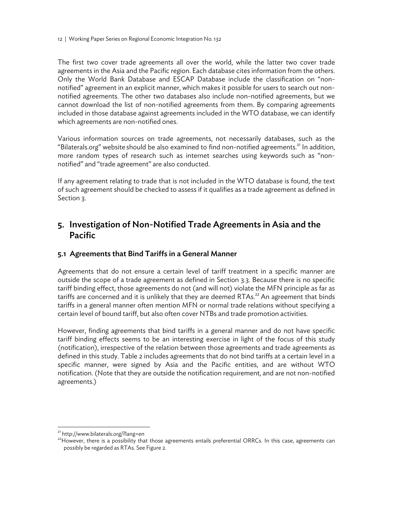12 | Working Paper Series on Regional Economic Integration No. 132

The first two cover trade agreements all over the world, while the latter two cover trade agreements in the Asia and the Pacific region. Each database cites information from the others. Only the World Bank Database and ESCAP Database include the classification on "nonnotified" agreement in an explicit manner, which makes it possible for users to search out nonnotified agreements. The other two databases also include non-notified agreements, but we cannot download the list of non-notified agreements from them. By comparing agreements included in those database against agreements included in the WTO database, we can identify which agreements are non-notified ones.

Various information sources on trade agreements, not necessarily databases, such as the "Bilaterals.org" website should be also examined to find non-notified agreements.<sup>21</sup> In addition, more random types of research such as internet searches using keywords such as "nonnotified" and "trade agreement" are also conducted.

If any agreement relating to trade that is not included in the WTO database is found, the text of such agreement should be checked to assess if it qualifies as a trade agreement as defined in Section 3.

# 5. Investigation of Non-Notified Trade Agreements in Asia and the Pacific

## 5.1. Agreements that Bind Tariffs in a General Manner

Agreements that do not ensure a certain level of tariff treatment in a specific manner are outside the scope of a trade agreement as defined in Section 3.3. Because there is no specific tariff binding effect, those agreements do not (and will not) violate the MFN principle as far as tariffs are concerned and it is unlikely that they are deemed RTAs.<sup>22</sup> An agreement that binds tariffs in a general manner often mention MFN or normal trade relations without specifying a certain level of bound tariff, but also often cover NTBs and trade promotion activities.

However, finding agreements that bind tariffs in a general manner and do not have specific tariff binding effects seems to be an interesting exercise in light of the focus of this study (notification), irrespective of the relation between those agreements and trade agreements as defined in this study. Table 2 includes agreements that do not bind tariffs at a certain level in a specific manner, were signed by Asia and the Pacific entities, and are without WTO notification. (Note that they are outside the notification requirement, and are not non-notified agreements.)

<sup>21</sup> http://www.bilaterals.org/?lang=en

<sup>&</sup>lt;sup>22</sup>However, there is a possibility that those agreements entails preferential ORRCs. In this case, agreements can possibly be regarded as RTAs. See Figure 2.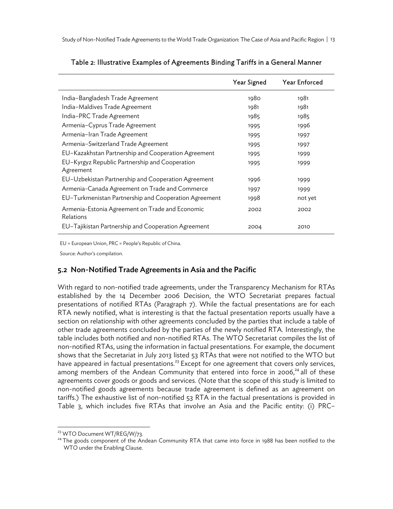|                                                              | Year Signed | <b>Year Enforced</b> |
|--------------------------------------------------------------|-------------|----------------------|
| India-Bangladesh Trade Agreement                             | 1980        | 1981                 |
| India-Maldives Trade Agreement                               | 1981        | 1981                 |
| India-PRC Trade Agreement                                    | 1985        | 1985                 |
| Armenia-Cyprus Trade Agreement                               | 1995        | 1996                 |
| Armenia-Iran Trade Agreement                                 | 1995        | 1997                 |
| Armenia-Switzerland Trade Agreement                          | 1995        | 1997                 |
| EU-Kazakhstan Partnership and Cooperation Agreement          | 1995        | 1999                 |
| EU-Kyrgyz Republic Partnership and Cooperation<br>Agreement  | 1995        | 1999                 |
| EU-Uzbekistan Partnership and Cooperation Agreement          | 1996        | 1999                 |
| Armenia-Canada Agreement on Trade and Commerce               | 1997        | 1999                 |
| EU-Turkmenistan Partnership and Cooperation Agreement        | 1998        | not yet              |
| Armenia-Estonia Agreement on Trade and Economic<br>Relations | 2002        | 2002                 |
| EU-Tajikistan Partnership and Cooperation Agreement          | 2004        | 2010                 |

#### Table 2: Illustrative Examples of Agreements Binding Tariffs in a General Manner

EU = European Union, PRC = People's Republic of China.

Source: Author's compilation.

#### 5.2. Non-Notified Trade Agreements in Asia and the Pacific

With regard to non-notified trade agreements, under the Transparency Mechanism for RTAs established by the 14 December 2006 Decision, the WTO Secretariat prepares factual presentations of notified RTAs (Paragraph 7). While the factual presentations are for each RTA newly notified, what is interesting is that the factual presentation reports usually have a section on relationship with other agreements concluded by the parties that include a table of other trade agreements concluded by the parties of the newly notified RTA. Interestingly, the table includes both notified and non-notified RTAs. The WTO Secretariat compiles the list of non-notified RTAs, using the information in factual presentations. For example, the document shows that the Secretariat in July 2013 listed 53 RTAs that were not notified to the WTO but have appeared in factual presentations.<sup>23</sup> Except for one agreement that covers only services, among members of the Andean Community that entered into force in 2006, $^{24}$  all of these agreements cover goods or goods and services. (Note that the scope of this study is limited to non-notified goods agreements because trade agreement is defined as an agreement on tariffs.) The exhaustive list of non-notified 53 RTA in the factual presentations is provided in Table 3, which includes five RTAs that involve an Asia and the Pacific entity: (i) PRC–

-

<sup>&</sup>lt;sup>23</sup> WTO Document WT/REG/W/73.

<sup>&</sup>lt;sup>24</sup> The goods component of the Andean Community RTA that came into force in 1988 has been notified to the WTO under the Enabling Clause.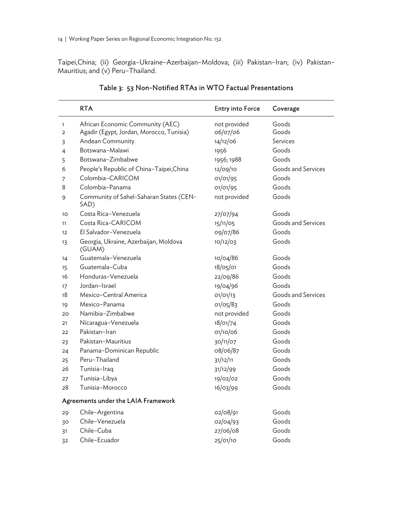Taipei,China; (ii) Georgia–Ukraine–Azerbaijan–Moldova; (iii) Pakistan–Iran; (iv) Pakistan– Mauritius; and (v) Peru–Thailand.

|              | <b>RTA</b>                                      | <b>Entry into Force</b> | Coverage           |
|--------------|-------------------------------------------------|-------------------------|--------------------|
| $\mathbf{1}$ | African Economic Community (AEC)                | not provided            | Goods              |
| 2            | Agadir (Egypt, Jordan, Morocco, Tunisia)        | 06/07/06                | Goods              |
| 3            | Andean Community                                | 14/12/06                | Services           |
| 4            | Botswana-Malawi                                 | 1956                    | Goods              |
| 5            | Botswana-Zimbabwe                               | 1956; 1988              | Goods              |
| 6            | People's Republic of China-Taipei, China        | 12/09/10                | Goods and Services |
| 7            | Colombia-CARICOM                                | 01/01/95                | Goods              |
| 8            | Colombia-Panama                                 | 01/01/95                | Goods              |
| 9            | Community of Sahel-Saharan States (CEN-<br>SAD) | not provided            | Goods              |
| 10           | Costa Rica-Venezuela                            | 27/07/94                | Goods              |
| 11           | Costa Rica-CARICOM                              | 15/11/05                | Goods and Services |
| 12           | El Salvador-Venezuela                           | 09/07/86                | Goods              |
| 13           | Georgia, Ukraine, Azerbaijan, Moldova<br>(GUAM) | 10/12/03                | Goods              |
| 14           | Guatemala-Venezuela                             | 10/04/86                | Goods              |
| 15           | Guatemala-Cuba                                  | 18/05/01                | Goods              |
| 16           | Honduras-Venezuela                              | 22/09/86                | Goods              |
| 17           | Jordan-Israel                                   | 19/04/96                | Goods              |
| 18           | Mexico-Central America                          | 01/01/13                | Goods and Services |
| 19           | Mexico-Panama                                   | 01/05/83                | Goods              |
| 20           | Namibia-Zimbabwe                                | not provided            | Goods              |
| 21           | Nicaragua-Venezuela                             | 18/01/74                | Goods              |
| 22           | Pakistan-Iran                                   | 01/10/06                | Goods              |
| 23           | Pakistan-Mauritius                              | 30/11/07                | Goods              |
| 24           | Panama-Dominican Republic                       | 08/06/87                | Goods              |
| 25           | Peru-Thailand                                   | 31/12/11                | Goods              |
| 26           | Tunisia-Iraq                                    | 31/12/99                | Goods              |
| 27           | Tunisia-Libya                                   | 19/02/02                | Goods              |
| 28           | Tunisia-Morocco                                 | 16/03/99                | Goods              |
|              | Agreements under the LAIA Framework             |                         |                    |
| 29           | Chile-Argentina                                 | 02/08/91                | Goods              |
| 30           | Chile-Venezuela                                 | 02/04/93                | Goods              |
| 31           | Chile-Cuba                                      | 27/06/08                | Goods              |
| 32           | Chile-Ecuador                                   | 25/01/10                | Goods              |

## Table 3: 53 Non-Notified RTAs in WTO Factual Presentations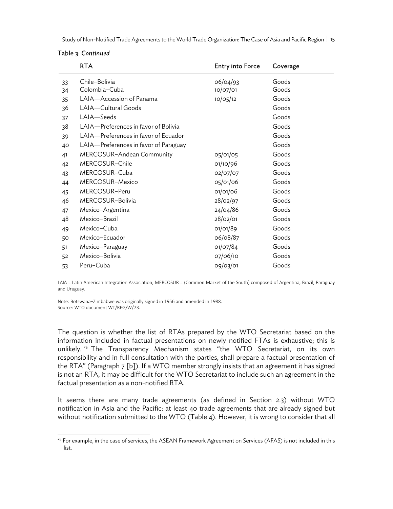Study of Non-Notified Trade Agreements to the World Trade Organization: The Case of Asia and Pacific Region | 15

| Table 3: Continued |  |
|--------------------|--|
|--------------------|--|

|          | <b>RTA</b>                            | <b>Entry into Force</b> | Coverage       |
|----------|---------------------------------------|-------------------------|----------------|
| 33<br>34 | Chile-Bolivia<br>Colombia-Cuba        | 06/04/93<br>10/07/01    | Goods<br>Goods |
| 35       | LAIA-Accession of Panama              | 10/05/12                | Goods          |
| 36       | LAIA-Cultural Goods                   |                         | Goods          |
| 37       | LAIA-Seeds                            |                         | Goods          |
| 38       | LAIA-Preferences in favor of Bolivia  |                         | Goods          |
| 39       | LAIA-Preferences in favor of Ecuador  |                         | Goods          |
| 40       | LAIA-Preferences in favor of Paraguay |                         | Goods          |
| 41       | MERCOSUR-Andean Community             | $O5/O1/O5$              | Goods          |
| 42       | MERCOSUR-Chile                        | 01/10/96                | Goods          |
| 43       | MERCOSUR-Cuba                         | 02/07/07                | Goods          |
| 44       | MERCOSUR-Mexico                       | 05/01/06                | Goods          |
| 45       | MERCOSUR-Peru                         | 01/01/06                | Goods          |
| 46       | MERCOSUR-Bolivia                      | 28/02/97                | Goods          |
| 47       | Mexico-Argentina                      | 24/04/86                | Goods          |
| 48       | Mexico-Brazil                         | 28/02/01                | Goods          |
| 49       | Mexico-Cuba                           | 01/01/89                | Goods          |
| 50       | Mexico-Ecuador                        | 06/08/87                | Goods          |
| 51       | Mexico-Paraguay                       | 01/07/84                | Goods          |
| 52       | Mexico-Bolivia                        | 07/06/10                | Goods          |
| 53       | Peru-Cuba                             | 09/03/01                | Goods          |

LAIA = Latin American Integration Association, MERCOSUR = (Common Market of the South) composed of Argentina, Brazil, Paraguay and Uruguay.

Note: Botswana–Zimbabwe was originally signed in 1956 and amended in 1988. Source: WTO document WT/REG/W/73.

The question is whether the list of RTAs prepared by the WTO Secretariat based on the information included in factual presentations on newly notified FTAs is exhaustive; this is unlikely.<sup>25</sup> The Transparency Mechanism states "the WTO Secretariat, on its own responsibility and in full consultation with the parties, shall prepare a factual presentation of the RTA" (Paragraph 7 [b]). If a WTO member strongly insists that an agreement it has signed is not an RTA, it may be difficult for the WTO Secretariat to include such an agreement in the factual presentation as a non-notified RTA.

It seems there are many trade agreements (as defined in Section 2.3) without WTO notification in Asia and the Pacific: at least 40 trade agreements that are already signed but without notification submitted to the WTO (Table 4). However, it is wrong to consider that all

<sup>&</sup>lt;sup>25</sup> For example, in the case of services, the ASEAN Framework Agreement on Services (AFAS) is not included in this list.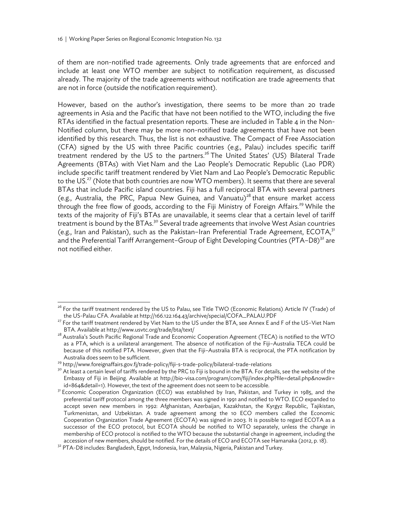of them are non-notified trade agreements. Only trade agreements that are enforced and include at least one WTO member are subject to notification requirement, as discussed already. The majority of the trade agreements without notification are trade agreements that are not in force (outside the notification requirement).

However, based on the author's investigation, there seems to be more than 20 trade agreements in Asia and the Pacific that have not been notified to the WTO, including the five RTAs identified in the factual presentation reports. These are included in Table 4 in the Non-Notified column, but there may be more non-notified trade agreements that have not been identified by this research. Thus, the list is not exhaustive. The Compact of Free Association (CFA) signed by the US with three Pacific countries (e.g., Palau) includes specific tariff treatment rendered by the US to the partners.<sup>26</sup> The United States' (US) Bilateral Trade Agreements (BTAs) with Viet Nam and the Lao People's Democratic Republic (Lao PDR) include specific tariff treatment rendered by Viet Nam and Lao People's Democratic Republic to the US.<sup>27</sup> (Note that both countries are now WTO members). It seems that there are several BTAs that include Pacific island countries. Fiji has a full reciprocal BTA with several partners (e.g., Australia, the PRC, Papua New Guinea, and Vanuatu)<sup>28</sup> that ensure market access through the free flow of goods, according to the Fiji Ministry of Foreign Affairs.<sup>29</sup> While the texts of the majority of Fiji's BTAs are unavailable, it seems clear that a certain level of tariff treatment is bound by the BTAs.<sup>30</sup> Several trade agreements that involve West Asian countries (e.g., Iran and Pakistan), such as the Pakistan-Iran Preferential Trade Agreement, ECOTA,<sup>31</sup> and the Preferential Tariff Arrangement–Group of Eight Developing Countries (PTA–D8)<sup>32</sup> are not notified either.

 $\overline{a}$ 

<sup>&</sup>lt;sup>26</sup> For the tariff treatment rendered by the US to Palau, see Title TWO (Economic Relations) Article IV (Trade) of

the US-Palau CFA. Available at http://166.122.164.43/archive/special/COFA\_PALAU.PDF<br><sup>27</sup> For the tariff treatment rendered by Viet Nam to the US under the BTA, see Annex E and F of the US–Viet Nam<br>BTA. Available at http://

<sup>&</sup>lt;sup>28</sup> Australia's South Pacific Regional Trade and Economic Cooperation Agreement (TECA) is notified to the WTO as a PTA, which is a unilateral arrangement. The absence of notification of the Fiji–Australia TECA could be because of this notified PTA. However, given that the Fiji–Australia BTA is reciprocal, the PTA notification by Australia does seem to be sufficient.<br><sup>29</sup> http://www.foreignaffairs.gov.fj/trade-policy/fiji-s-trade-policy/bilateral-trade-relations<br><sup>30</sup> At least a certain level of tariffs rendered by the PRC to Fiji is bound in the B

Embassy of Fiji in Beijing. Available at http://bio-visa.com/program/com/fiji/index.php?file=detail.php&nowdir= id=864&detail=1). However, the text of the agreement does not seem to be accessible.<br><sup>31</sup> Economic Cooperation Organization (ECO) was established by Iran, Pakistan, and Turkey in 1985, and the

preferential tariff protocol among the three members was signed in 1991 and notified to WTO. ECO expanded to accept seven new members in 1992: Afghanistan, Azerbaijan, Kazakhstan, the Kyrgyz Republic, Tajikistan, Turkmenistan, and Uzbekistan. A trade agreement among the 10 ECO members called the Economic Cooperation Organization Trade Agreement (ECOTA) was signed in 2003. It is possible to regard ECOTA as a successor of the ECO protocol, but ECOTA should be notified to WTO separately, unless the change in membership of ECO protocol is notified to the WTO because the substantial change in agreement, including the accession of new members, should be notified. For the details of ECO and ECOTA see Hamanaka (2012, p. 18). 32 PTA-D8 includes: Bangladesh, Egypt, Indonesia, Iran, Malaysia, Nigeria, Pakistan and Turkey.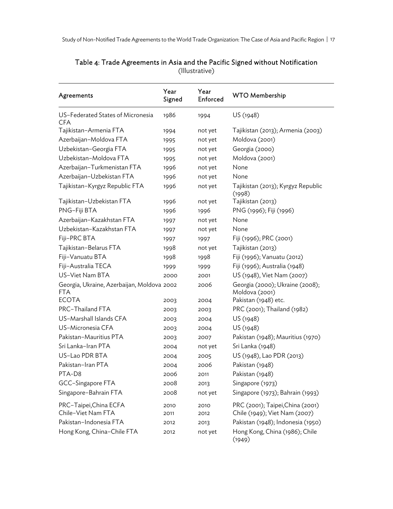| Agreements                                        | Year<br>Signed | Year<br>Enforced | <b>WTO Membership</b>                             |
|---------------------------------------------------|----------------|------------------|---------------------------------------------------|
| US-Federated States of Micronesia<br><b>CFA</b>   | 1986           | 1994             | US (1948)                                         |
| Tajikistan-Armenia FTA                            | 1994           | not yet          | Tajikistan (2013); Armenia (2003)                 |
| Azerbaijan-Moldova FTA                            | 1995           | not yet          | Moldova (2001)                                    |
| Uzbekistan-Georgia FTA                            | 1995           | not yet          | Georgia (2000)                                    |
| Uzbekistan-Moldova FTA                            | 1995           | not yet          | Moldova (2001)                                    |
| Azerbaijan-Turkmenistan FTA                       | 1996           | not yet          | None                                              |
| Azerbaijan-Uzbekistan FTA                         | 1996           | not yet          | None                                              |
| Tajikistan-Kyrgyz Republic FTA                    | 1996           | not yet          | Tajikistan (2013); Kyrgyz Republic<br>(1998)      |
| Tajikistan-Uzbekistan FTA                         | 1996           | not yet          | Tajikistan (2013)                                 |
| PNG-Fiji BTA                                      | 1996           | 1996             | PNG (1996); Fiji (1996)                           |
| Azerbaijan-Kazakhstan FTA                         | 1997           | not yet          | None                                              |
| Uzbekistan-Kazakhstan FTA                         | 1997           | not yet          | None                                              |
| Fiji-PRC BTA                                      | 1997           | 1997             | Fiji (1996); PRC (2001)                           |
| Tajikistan-Belarus FTA                            | 1998           | not yet          | Tajikistan (2013)                                 |
| Fiji-Vanuatu BTA                                  | 1998           | 1998             | Fiji (1996); Vanuatu (2012)                       |
| Fiji-Australia TECA                               | 1999           | 1999             | Fiji (1996); Australia (1948)                     |
| US-Viet Nam BTA                                   | 2000           | 2001             | US (1948), Viet Nam (2007)                        |
| Georgia, Ukraine, Azerbaijan, Moldova 2002<br>FTA |                | 2006             | Georgia (2000); Ukraine (2008);<br>Moldova (2001) |
| <b>ECOTA</b>                                      | 2003           | 2004             | Pakistan (1948) etc.                              |
| PRC-Thailand FTA                                  | 2003           | 2003             | PRC (2001); Thailand (1982)                       |
| US-Marshall Islands CFA                           | 2003           | 2004             | US (1948)                                         |
| US-Micronesia CFA                                 | 2003           | 2004             | US (1948)                                         |
| Pakistan-Mauritius PTA                            | 2003           | 2007             | Pakistan (1948); Mauritius (1970)                 |
| Sri Lanka-Iran PTA                                | 2004           | not yet          | Sri Lanka (1948)                                  |
| US-Lao PDR BTA                                    | 2004           | 2005             | US (1948), Lao PDR (2013)                         |
| Pakistan-Iran PTA                                 | 2004           | 2006             | Pakistan (1948)                                   |
| PTA-D8                                            | 2006           | 2011             | Pakistan (1948)                                   |
| GCC-Singapore FTA                                 | 2008           | 2013             | Singapore (1973)                                  |
| Singapore-Bahrain FTA                             | 2008           | not yet          | Singapore (1973); Bahrain (1993)                  |
| PRC-Taipei, China ECFA                            | 2010           | 2010             | PRC (2001); Taipei, China (2001)                  |
| Chile-Viet Nam FTA                                | 2011           | 2012             | Chile (1949); Viet Nam (2007)                     |
| Pakistan-Indonesia FTA                            | 2012           | 2013             | Pakistan (1948); Indonesia (1950)                 |
| Hong Kong, China-Chile FTA                        | 2012           | not yet          | Hong Kong, China (1986); Chile<br>(1949)          |

## Table 4: Trade Agreements in Asia and the Pacific Signed without Notification (Illustrative)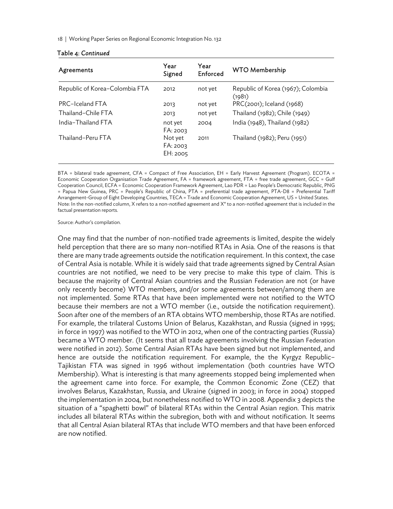18 | Working Paper Series on Regional Economic Integration No. 132

| Agreements                     | Year<br>Signed                  | Year<br>Enforced | <b>WTO Membership</b>                        |
|--------------------------------|---------------------------------|------------------|----------------------------------------------|
| Republic of Korea-Colombia FTA | 2012                            | not yet          | Republic of Korea (1967); Colombia<br>(1981) |
| PRC-Iceland FTA                | 2013                            | not yet          | PRC(2001); Iceland (1968)                    |
| Thailand-Chile FTA             | 2013                            | not yet          | Thailand (1982); Chile (1949)                |
| India-Thailand FTA             | not yet<br>FA: 2003             | 2004             | India (1948), Thailand (1982)                |
| Thailand-Peru FTA              | Not yet<br>FA: 2003<br>EH: 2005 | 2011             | Thailand (1982); Peru (1951)                 |

#### Table 4: *Continued*

BTA = bilateral trade agreement, CFA = Compact of Free Association, EH = Early Harvest Agreement (Program). ECOTA = Economic Cooperation Organisation Trade Agreement, FA = framework agreement, FTA = free trade agreement, GCC = Gulf Cooperation Council, ECFA = Economic Cooperation Framework Agreement, Lao PDR = Lao People's Democratic Republic, PNG = Papua New Guinea, PRC = People's Republic of China, PTA = preferential trade agreement, PTA-D8 = Preferential Tariff Arrangement-Group of Eight Developing Countries, TECA = Trade and Economic Cooperation Agreement, US = United States. Note: In the non-notified column, X refers to a non-notified agreement and X\* to a non-notified agreement that is included in the factual presentation reports.

Source: Author's compilation.

One may find that the number of non-notified trade agreements is limited, despite the widely held perception that there are so many non-notified RTAs in Asia. One of the reasons is that there are many trade agreements outside the notification requirement. In this context, the case of Central Asia is notable. While it is widely said that trade agreements signed by Central Asian countries are not notified, we need to be very precise to make this type of claim. This is because the majority of Central Asian countries and the Russian Federation are not (or have only recently become) WTO members, and/or some agreements between/among them are not implemented. Some RTAs that have been implemented were not notified to the WTO because their members are not a WTO member (i.e., outside the notification requirement). Soon after one of the members of an RTA obtains WTO membership, those RTAs are notified. For example, the trilateral Customs Union of Belarus, Kazakhstan, and Russia (signed in 1995; in force in 1997) was notified to the WTO in 2012, when one of the contracting parties (Russia) became a WTO member. (It seems that all trade agreements involving the Russian Federation were notified in 2012). Some Central Asian RTAs have been signed but not implemented, and hence are outside the notification requirement. For example, the the Kyrgyz Republic– Tajikistan FTA was signed in 1996 without implementation (both countries have WTO Membership). What is interesting is that many agreements stopped being implemented when the agreement came into force. For example, the Common Economic Zone (CEZ) that involves Belarus, Kazakhstan, Russia, and Ukraine (signed in 2003; in force in 2004) stopped the implementation in 2004, but nonetheless notified to WTO in 2008. Appendix 3 depicts the situation of a "spaghetti bowl" of bilateral RTAs within the Central Asian region. This matrix includes all bilateral RTAs within the subregion, both with and without notification. It seems that all Central Asian bilateral RTAs that include WTO members and that have been enforced are now notified.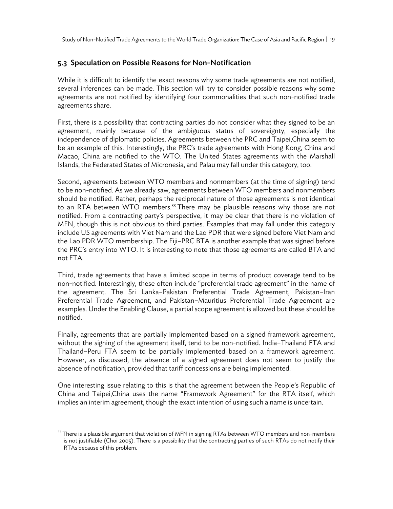Study of Non-Notified Trade Agreements to the World Trade Organization: The Case of Asia and Pacific Region | 19

#### 5.3. Speculation on Possible Reasons for Non-Notification

While it is difficult to identify the exact reasons why some trade agreements are not notified, several inferences can be made. This section will try to consider possible reasons why some agreements are not notified by identifying four commonalities that such non-notified trade agreements share.

First, there is a possibility that contracting parties do not consider what they signed to be an agreement, mainly because of the ambiguous status of sovereignty, especially the independence of diplomatic policies. Agreements between the PRC and Taipei,China seem to be an example of this. Interestingly, the PRC's trade agreements with Hong Kong, China and Macao, China are notified to the WTO. The United States agreements with the Marshall Islands, the Federated States of Micronesia, and Palau may fall under this category, too.

Second, agreements between WTO members and nonmembers (at the time of signing) tend to be non-notified. As we already saw, agreements between WTO members and nonmembers should be notified. Rather, perhaps the reciprocal nature of those agreements is not identical to an RTA between WTO members.<sup>33</sup> There may be plausible reasons why those are not notified. From a contracting party's perspective, it may be clear that there is no violation of MFN, though this is not obvious to third parties. Examples that may fall under this category include US agreements with Viet Nam and the Lao PDR that were signed before Viet Nam and the Lao PDR WTO membership. The Fiji–PRC BTA is another example that was signed before the PRC's entry into WTO. It is interesting to note that those agreements are called BTA and not FTA.

Third, trade agreements that have a limited scope in terms of product coverage tend to be non-notified. Interestingly, these often include "preferential trade agreement" in the name of the agreement. The Sri Lanka–Pakistan Preferential Trade Agreement, Pakistan–Iran Preferential Trade Agreement, and Pakistan–Mauritius Preferential Trade Agreement are examples. Under the Enabling Clause, a partial scope agreement is allowed but these should be notified.

Finally, agreements that are partially implemented based on a signed framework agreement, without the signing of the agreement itself, tend to be non-notified. India–Thailand FTA and Thailand–Peru FTA seem to be partially implemented based on a framework agreement. However, as discussed, the absence of a signed agreement does not seem to justify the absence of notification, provided that tariff concessions are being implemented.

One interesting issue relating to this is that the agreement between the People's Republic of China and Taipei,China uses the name "Framework Agreement" for the RTA itself, which implies an interim agreement, though the exact intention of using such a name is uncertain.

-

 $33$  There is a plausible argument that violation of MFN in signing RTAs between WTO members and non-members is not justifiable (Choi 2005). There is a possibility that the contracting parties of such RTAs do not notify their RTAs because of this problem.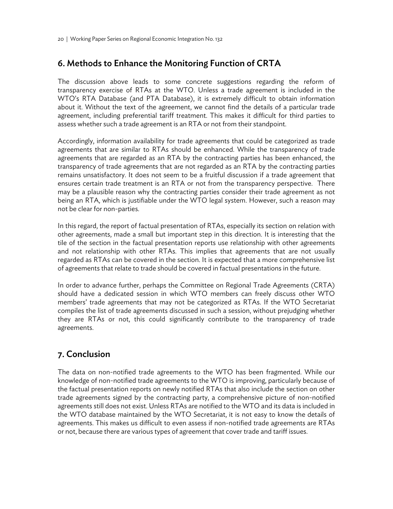## 6. Methods to Enhance the Monitoring Function of CRTA

The discussion above leads to some concrete suggestions regarding the reform of transparency exercise of RTAs at the WTO. Unless a trade agreement is included in the WTO's RTA Database (and PTA Database), it is extremely difficult to obtain information about it. Without the text of the agreement, we cannot find the details of a particular trade agreement, including preferential tariff treatment. This makes it difficult for third parties to assess whether such a trade agreement is an RTA or not from their standpoint.

Accordingly, information availability for trade agreements that could be categorized as trade agreements that are similar to RTAs should be enhanced. While the transparency of trade agreements that are regarded as an RTA by the contracting parties has been enhanced, the transparency of trade agreements that are not regarded as an RTA by the contracting parties remains unsatisfactory. It does not seem to be a fruitful discussion if a trade agreement that ensures certain trade treatment is an RTA or not from the transparency perspective. There may be a plausible reason why the contracting parties consider their trade agreement as not being an RTA, which is justifiable under the WTO legal system. However, such a reason may not be clear for non-parties.

In this regard, the report of factual presentation of RTAs, especially its section on relation with other agreements, made a small but important step in this direction. It is interesting that the tile of the section in the factual presentation reports use relationship with other agreements and not relationship with other RTAs. This implies that agreements that are not usually regarded as RTAs can be covered in the section. It is expected that a more comprehensive list of agreements that relate to trade should be covered in factual presentations in the future.

In order to advance further, perhaps the Committee on Regional Trade Agreements (CRTA) should have a dedicated session in which WTO members can freely discuss other WTO members' trade agreements that may not be categorized as RTAs. If the WTO Secretariat compiles the list of trade agreements discussed in such a session, without prejudging whether they are RTAs or not, this could significantly contribute to the transparency of trade agreements.

## 7. Conclusion

The data on non-notified trade agreements to the WTO has been fragmented. While our knowledge of non-notified trade agreements to the WTO is improving, particularly because of the factual presentation reports on newly notified RTAs that also include the section on other trade agreements signed by the contracting party, a comprehensive picture of non-notified agreements still does not exist. Unless RTAs are notified to the WTO and its data is included in the WTO database maintained by the WTO Secretariat, it is not easy to know the details of agreements. This makes us difficult to even assess if non-notified trade agreements are RTAs or not, because there are various types of agreement that cover trade and tariff issues.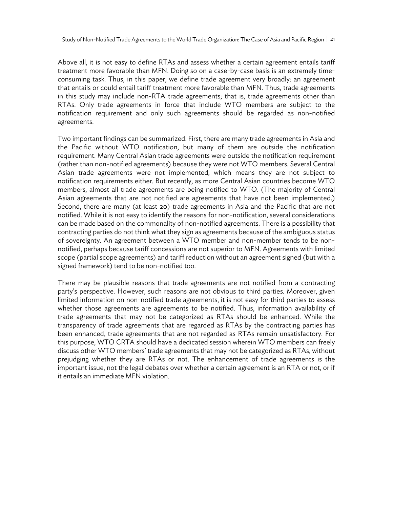Study of Non-Notified Trade Agreements to the World Trade Organization: The Case of Asia and Pacific Region | 21

Above all, it is not easy to define RTAs and assess whether a certain agreement entails tariff treatment more favorable than MFN. Doing so on a case-by-case basis is an extremely timeconsuming task. Thus, in this paper, we define trade agreement very broadly: an agreement that entails or could entail tariff treatment more favorable than MFN. Thus, trade agreements in this study may include non-RTA trade agreements; that is, trade agreements other than RTAs. Only trade agreements in force that include WTO members are subject to the notification requirement and only such agreements should be regarded as non-notified agreements.

Two important findings can be summarized. First, there are many trade agreements in Asia and the Pacific without WTO notification, but many of them are outside the notification requirement. Many Central Asian trade agreements were outside the notification requirement (rather than non-notified agreements) because they were not WTO members. Several Central Asian trade agreements were not implemented, which means they are not subject to notification requirements either. But recently, as more Central Asian countries become WTO members, almost all trade agreements are being notified to WTO. (The majority of Central Asian agreements that are not notified are agreements that have not been implemented.) Second, there are many (at least 20) trade agreements in Asia and the Pacific that are not notified. While it is not easy to identify the reasons for non-notification, several considerations can be made based on the commonality of non-notified agreements. There is a possibility that contracting parties do not think what they sign as agreements because of the ambiguous status of sovereignty. An agreement between a WTO member and non-member tends to be nonnotified, perhaps because tariff concessions are not superior to MFN. Agreements with limited scope (partial scope agreements) and tariff reduction without an agreement signed (but with a signed framework) tend to be non-notified too.

There may be plausible reasons that trade agreements are not notified from a contracting party's perspective. However, such reasons are not obvious to third parties. Moreover, given limited information on non-notified trade agreements, it is not easy for third parties to assess whether those agreements are agreements to be notified. Thus, information availability of trade agreements that may not be categorized as RTAs should be enhanced. While the transparency of trade agreements that are regarded as RTAs by the contracting parties has been enhanced, trade agreements that are not regarded as RTAs remain unsatisfactory. For this purpose, WTO CRTA should have a dedicated session wherein WTO members can freely discuss other WTO members' trade agreements that may not be categorized as RTAs, without prejudging whether they are RTAs or not. The enhancement of trade agreements is the important issue, not the legal debates over whether a certain agreement is an RTA or not, or if it entails an immediate MFN violation.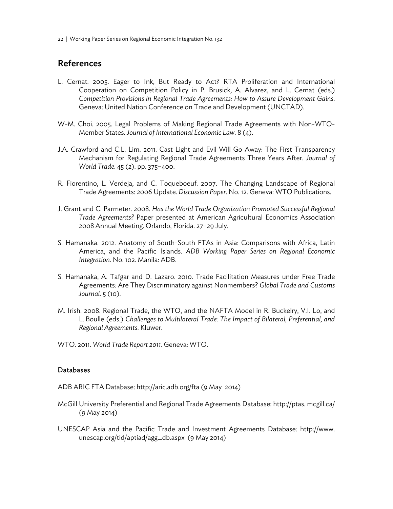22 | Working Paper Series on Regional Economic Integration No. 132

## References

- L. Cernat. 2005. Eager to Ink, But Ready to Act? RTA Proliferation and International Cooperation on Competition Policy in P. Brusick, A. Alvarez, and L. Cernat (eds.) *Competition Provisions in Regional Trade Agreements: How to Assure Development Gains*. Geneva: United Nation Conference on Trade and Development (UNCTAD).
- W-M. Choi. 2005. Legal Problems of Making Regional Trade Agreements with Non-WTO-Member States. *Journal of International Economic Law*. 8 (4).
- J.A. Crawford and C.L. Lim. 2011. Cast Light and Evil Will Go Away: The First Transparency Mechanism for Regulating Regional Trade Agreements Three Years After. *Journal of World Trade*. 45 (2). pp. 375–400.
- R. Fiorentino, L. Verdeja, and C. Toqueboeuf. 2007. The Changing Landscape of Regional Trade Agreements: 2006 Update. *Discussion Paper*. No. 12. Geneva: WTO Publications.
- J. Grant and C. Parmeter. 2008. *Has the World Trade Organization Promoted Successful Regional Trade Agreements?* Paper presented at American Agricultural Economics Association 2008 Annual Meeting. Orlando, Florida. 27–29 July.
- S. Hamanaka. 2012. Anatomy of South-South FTAs in Asia: Comparisons with Africa, Latin America, and the Pacific Islands. *ADB Working Paper Series on Regional Economic Integration*. No. 102. Manila: ADB.
- S. Hamanaka, A. Tafgar and D. Lazaro. 2010. Trade Facilitation Measures under Free Trade Agreements: Are They Discriminatory against Nonmembers? *Global Trade and Customs Journal*. 5 (10).
- M. Irish. 2008. Regional Trade, the WTO, and the NAFTA Model in R. Buckelry, V.I. Lo, and L. Boulle (eds.) *Challenges to Multilateral Trade: The Impact of Bilateral, Preferential, and Regional Agreements*. Kluwer.
- WTO. 2011. *World Trade Report 2011*. Geneva: WTO.

#### Databases

ADB ARIC FTA Database: http://aric.adb.org/fta (9 May 2014)

- McGill University Preferential and Regional Trade Agreements Database: http://ptas. mcgill.ca/ (9 May 2014)
- UNESCAP Asia and the Pacific Trade and Investment Agreements Database: http://www. unescap.org/tid/aptiad/agg\_db.aspx (9 May 2014)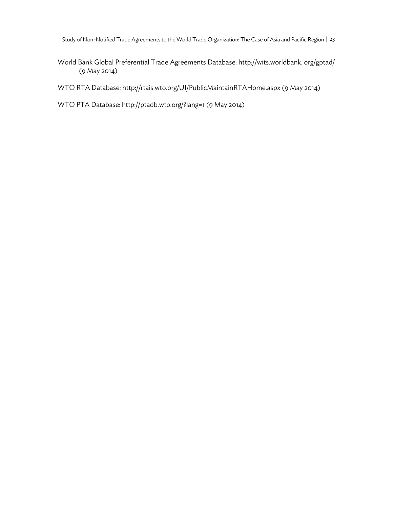Study of Non-Notified Trade Agreements to the World Trade Organization: The Case of Asia and Pacific Region | 23

World Bank Global Preferential Trade Agreements Database: http://wits.worldbank. org/gptad/ (9 May 2014)

WTO RTA Database: http://rtais.wto.org/UI/PublicMaintainRTAHome.aspx (9 May 2014)

WTO PTA Database: http://ptadb.wto.org/?lang=1 (9 May 2014)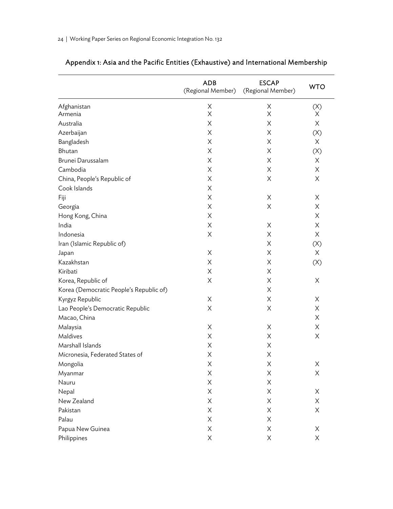|                                         | <b>ADB</b><br>(Regional Member) | <b>ESCAP</b><br>(Regional Member) | <b>WTO</b> |
|-----------------------------------------|---------------------------------|-----------------------------------|------------|
| Afghanistan                             | X                               | X                                 | (X)        |
| Armenia                                 | X                               | X                                 | X.         |
| Australia                               | Χ                               | Χ                                 | X          |
| Azerbaijan                              | X                               | Χ                                 | (X)        |
| Bangladesh                              | Χ                               | Χ                                 | X          |
| Bhutan                                  | X                               | X                                 | (X)        |
| Brunei Darussalam                       | Χ                               | Χ                                 | X          |
| Cambodia                                | X                               | Χ                                 | X          |
| China, People's Republic of             | X                               | Χ                                 | X          |
| Cook Islands                            | Χ                               |                                   |            |
| Fiji                                    | X                               | X                                 | X          |
| Georgia                                 | X                               | X                                 | X          |
| Hong Kong, China                        | X                               |                                   | X          |
| India                                   | X                               | X                                 | X          |
| Indonesia                               | X                               | X                                 | X          |
| Iran (Islamic Republic of)              |                                 | X                                 | (X)        |
| Japan                                   | X                               | Χ                                 | X          |
| Kazakhstan                              | Χ                               | X                                 | (X)        |
| Kiribati                                | X                               | Χ                                 |            |
| Korea, Republic of                      | X                               | Χ                                 | X          |
| Korea (Democratic People's Republic of) |                                 | X                                 |            |
| Kyrgyz Republic                         | Χ                               | Χ                                 | X          |
| Lao People's Democratic Republic        | X                               | X                                 | X          |
| Macao, China                            |                                 |                                   | X          |
| Malaysia                                | X                               | Χ                                 | X          |
| Maldives                                | X                               | X                                 | X          |
| Marshall Islands                        | Χ                               | Χ                                 |            |
| Micronesia, Federated States of         | Χ                               | X                                 |            |
| Mongolia                                | Χ                               | Χ                                 | X          |
| Myanmar                                 | X                               | X                                 | Χ          |
| Nauru                                   | Χ                               | X                                 |            |
| Nepal                                   | X                               | X                                 | X          |
| New Zealand                             | X                               | X                                 | Χ          |
| Pakistan                                | X                               | X                                 | X          |
| Palau                                   | X                               | X                                 |            |
| Papua New Guinea                        | X                               | X                                 | X          |
| Philippines                             | Χ                               | X                                 | X          |

# Appendix 1: Asia and the Pacific Entities (Exhaustive) and International Membership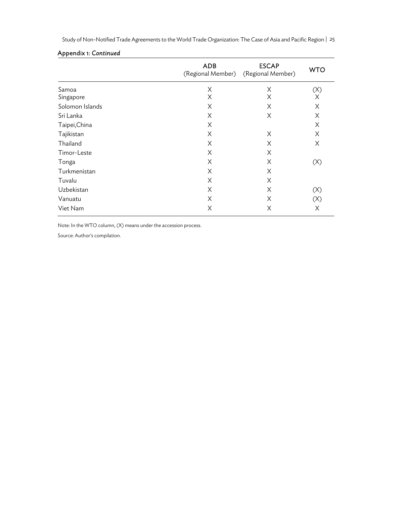Study of Non-Notified Trade Agreements to the World Trade Organization: The Case of Asia and Pacific Region | 25

|                 | <b>ADB</b><br>(Regional Member) | <b>ESCAP</b><br>(Regional Member) | <b>WTO</b> |
|-----------------|---------------------------------|-----------------------------------|------------|
| Samoa           | X                               | X                                 | (X)        |
| Singapore       | X                               | X                                 | X          |
| Solomon Islands | X                               | X                                 | X          |
| Sri Lanka       | Χ                               | X                                 | X          |
| Taipei, China   | Χ                               |                                   | X          |
| Tajikistan      | X                               | X                                 | X          |
| Thailand        | X                               | X                                 | X          |
| Timor-Leste     | X                               | X                                 |            |
| Tonga           | Χ                               | X                                 | (X)        |
| Turkmenistan    | Χ                               | X                                 |            |
| Tuvalu          | X                               | X                                 |            |
| Uzbekistan      | X                               | X                                 | (X)        |
| Vanuatu         | Χ                               | X                                 | (X)        |
| Viet Nam        | X                               | X                                 | Χ          |

#### Appendix 1: *Continued*

Note: In the WTO column, (X) means under the accession process.

Source: Author's compilation.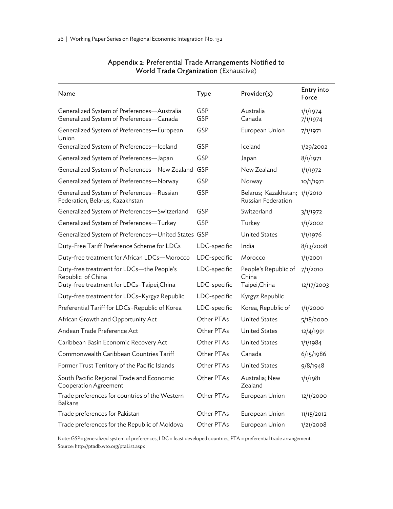| Name                                                                                    | <b>Type</b>  | Provider(s)                                         | Entry into<br>Force  |
|-----------------------------------------------------------------------------------------|--------------|-----------------------------------------------------|----------------------|
| Generalized System of Preferences-Australia<br>Generalized System of Preferences-Canada | GSP<br>GSP   | Australia<br>Canada                                 | 1/1/1974<br>7/1/1974 |
| Generalized System of Preferences-European<br>Union                                     | GSP          | European Union                                      | 7/1/1971             |
| Generalized System of Preferences-Iceland                                               | GSP          | Iceland                                             | 1/29/2002            |
| Generalized System of Preferences-Japan                                                 | GSP          | Japan                                               | 8/1/1971             |
| Generalized System of Preferences-New Zealand                                           | GSP          | New Zealand                                         | 1/1/1972             |
| Generalized System of Preferences-Norway                                                | GSP          | Norway                                              | 10/1/1971            |
| Generalized System of Preferences-Russian<br>Federation, Belarus, Kazakhstan            | GSP          | Belarus; Kazakhstan; 1/1/2010<br>Russian Federation |                      |
| Generalized System of Preferences-Switzerland                                           | GSP          | Switzerland                                         | 3/1/1972             |
| Generalized System of Preferences-Turkey                                                | GSP          | Turkey                                              | 1/1/2002             |
| Generalized System of Preferences-United States GSP                                     |              | <b>United States</b>                                | 1/1/1976             |
| Duty-Free Tariff Preference Scheme for LDCs                                             | LDC-specific | India                                               | 8/13/2008            |
| Duty-free treatment for African LDCs-Morocco                                            | LDC-specific | Morocco                                             | 1/1/2001             |
| Duty-free treatment for LDCs-the People's<br>Republic of China                          | LDC-specific | People's Republic of<br>China                       | 7/1/2010             |
| Duty-free treatment for LDCs-Taipei, China                                              | LDC-specific | Taipei,China                                        | 12/17/2003           |
| Duty-free treatment for LDCs-Kyrgyz Republic                                            | LDC-specific | Kyrgyz Republic                                     |                      |
| Preferential Tariff for LDCs-Republic of Korea                                          | LDC-specific | Korea, Republic of                                  | 1/1/2000             |
| African Growth and Opportunity Act                                                      | Other PTAs   | <b>United States</b>                                | 5/18/2000            |
| Andean Trade Preference Act                                                             | Other PTAs   | <b>United States</b>                                | 12/4/1991            |
| Caribbean Basin Economic Recovery Act                                                   | Other PTAs   | <b>United States</b>                                | 1/1/1984             |
| Commonwealth Caribbean Countries Tariff                                                 | Other PTAs   | Canada                                              | 6/15/1986            |
| Former Trust Territory of the Pacific Islands                                           | Other PTAs   | <b>United States</b>                                | 9/8/1948             |
| South Pacific Regional Trade and Economic<br><b>Cooperation Agreement</b>               | Other PTAs   | Australia; New<br>Zealand                           | 1/1/1981             |
| Trade preferences for countries of the Western<br>Balkans                               | Other PTAs   | European Union                                      | 12/1/2000            |
| Trade preferences for Pakistan                                                          | Other PTAs   | European Union                                      | 11/15/2012           |
| Trade preferences for the Republic of Moldova                                           | Other PTAs   | European Union                                      | 1/21/2008            |

## Appendix 2: Preferential Trade Arrangements Notified to World Trade Organization (Exhaustive)

Note: GSP= generalized system of preferences, LDC = least developed countries, PTA = preferential trade arrangement. Source: http://ptadb.wto.org/ptaList.aspx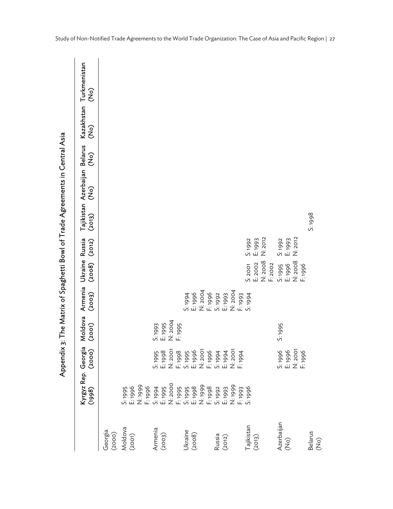|                            |                    |                                                                                                                                                                                                                                                        | Moldova<br>(2001)                        | Armenia<br>(2003)                              | Ukraine Russia<br>(2008)                 | (2012)                        | (2013)  | Tajikistan Azerbaijan Belarus<br>(oK) | <u>၃၃</u> | <u>င်</u> | Kazakhstan Turkmenistan<br><u>်</u><br>(၁ |
|----------------------------|--------------------|--------------------------------------------------------------------------------------------------------------------------------------------------------------------------------------------------------------------------------------------------------|------------------------------------------|------------------------------------------------|------------------------------------------|-------------------------------|---------|---------------------------------------|-----------|-----------|-------------------------------------------|
| Georgia<br>(2000)          |                    |                                                                                                                                                                                                                                                        |                                          |                                                |                                          |                               |         |                                       |           |           |                                           |
| Moldova<br>(2001)          |                    |                                                                                                                                                                                                                                                        |                                          |                                                |                                          |                               |         |                                       |           |           |                                           |
| Armenia<br>(2003)          |                    |                                                                                                                                                                                                                                                        | N: 2004<br>S: 1993<br>E: 1995<br>F: 1995 |                                                |                                          |                               |         |                                       |           |           |                                           |
| Ukraine<br>(2008)          |                    |                                                                                                                                                                                                                                                        |                                          | N: 2004<br>E: 1996<br>F: 1996<br><b>7661:S</b> |                                          |                               |         |                                       |           |           |                                           |
| Russia<br>(2012)           |                    | $\begin{array}{l} 56850850850850700\\ 0.985085085085000\\ 0.995095085008500\\ 0.9950950085000\\ 0.9950085000\\ 0.99500000\\ 0.99500000\\ 0.99500000\\ 0.99500000\\ 0.99500000\\ 0.99500000\\ 0.99500000\\ 0.99500000\\ 0.99500000\\ 0.99500000\\ 0.99$ |                                          | E: 1993<br>N: 2004<br>S: 1992<br>F: 1993       |                                          |                               |         |                                       |           |           |                                           |
| Tajikistan<br>(2013)       | F: 1993<br>S: 1996 |                                                                                                                                                                                                                                                        |                                          | S: 1994                                        | N: 2008<br>E: 2002<br>F: 2002<br>S: 2001 | N: 2012<br>S: 1992<br>E: 1993 |         |                                       |           |           |                                           |
| Azerbaijan<br>(No)         |                    | 5:1996<br>E:1996<br>E:1996<br>F:1996                                                                                                                                                                                                                   | S: 1995                                  |                                                | N: 2008<br>S: 1995<br>E: 1996<br>F: 1996 | N: 2012<br>E: 1993<br>S: 1992 |         |                                       |           |           |                                           |
| Belarus<br>$\widetilde{S}$ |                    |                                                                                                                                                                                                                                                        |                                          |                                                |                                          |                               | S: 1998 |                                       |           |           |                                           |

Appendix 3: The Matrix of Spaghetti Bowl of Trade Agreements in Central Asia Appendix 3: The Matrix of Spaghetti Bowl of Trade Agreements in Central Asia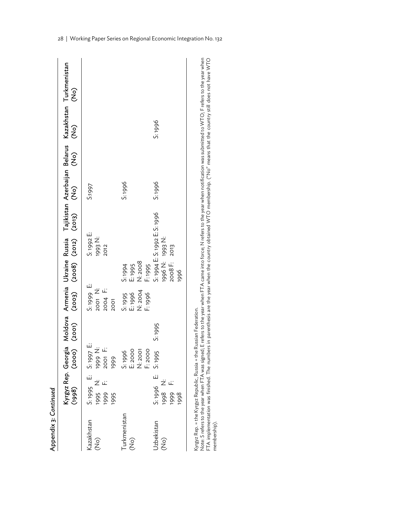| Appendix 3: Continued         |                                                             |                                          |        |                                                   |                                                          |                                                         |        |                           |                           |               |                                                              |
|-------------------------------|-------------------------------------------------------------|------------------------------------------|--------|---------------------------------------------------|----------------------------------------------------------|---------------------------------------------------------|--------|---------------------------|---------------------------|---------------|--------------------------------------------------------------|
|                               | Kyrgyz Rep. Georgia Moldova Armenia Ukraine Russia<br>(998) | (2000) (2001)                            |        | (2003)                                            | (2008) (2012)                                            |                                                         | (2013) | $\widehat{\widetilde{S}}$ | $\widehat{\widetilde{z}}$ | $\widehat{c}$ | Tajikistan Azerbaijan Belarus Kazakhstan Turkmenistan<br>CON |
| Kazakhstan<br>$\widehat{C}$   | S:1995 E: S:1997 E:<br>1995 N:<br>1999 F:<br>1995           | ビ<br>1999 F:<br>1999                     |        | 5:1999 E:<br>2001 N:<br>2004 F:<br><b>2001</b>    |                                                          | S: 1992 E:<br>1993 N:<br>2012                           |        | <b>2661:S</b>             |                           |               |                                                              |
| Turkmenistan<br>$\widehat{C}$ |                                                             | E: 2000<br>F: 2000<br>N: 2001<br>S: 1996 |        | N: 2004<br>E <sub>1996</sub><br>F:1996<br>S: 1995 | N: 2008<br>E <sub>1995</sub><br>F: 1995<br><b>2:1994</b> |                                                         |        | S: 1996                   |                           |               |                                                              |
| Uzbekistan<br>$\widehat{C}$   | S:1996 E: S:1995<br>1998<br>N:<br>F.<br>1999<br>1998        |                                          | Se61.S |                                                   | 1996 N:<br>2008 F:<br>1996                               | S: 1994 E: S: 1992 E: S: 1996<br>1993 N:<br><b>2013</b> |        | S: 1996                   |                           | S: 1996       |                                                              |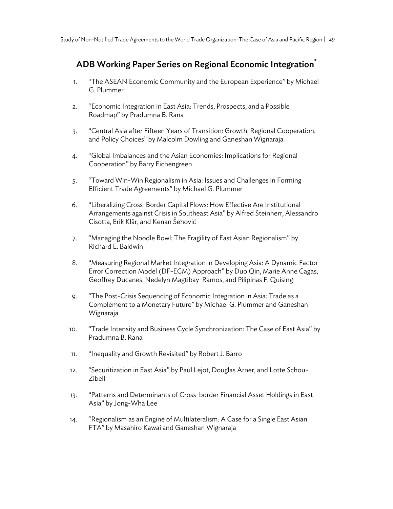## ADB Working Paper Series on Regional Economic Integration<sup>\*</sup>

- 1. "The ASEAN Economic Community and the European Experience" by Michael G. Plummer
- 2. "Economic Integration in East Asia: Trends, Prospects, and a Possible Roadmap" by Pradumna B. Rana
- 3. "Central Asia after Fifteen Years of Transition: Growth, Regional Cooperation, and Policy Choices" by Malcolm Dowling and Ganeshan Wignaraja
- 4. "Global Imbalances and the Asian Economies: Implications for Regional Cooperation" by Barry Eichengreen
- 5. "Toward Win-Win Regionalism in Asia: Issues and Challenges in Forming Efficient Trade Agreements" by Michael G. Plummer
- 6. "Liberalizing Cross-Border Capital Flows: How Effective Are Institutional Arrangements against Crisis in Southeast Asia" by Alfred Steinherr, Alessandro Cisotta, Erik Klär, and Kenan Šehović
- 7. "Managing the Noodle Bowl: The Fragility of East Asian Regionalism" by Richard E. Baldwin
- 8. "Measuring Regional Market Integration in Developing Asia: A Dynamic Factor Error Correction Model (DF-ECM) Approach" by Duo Qin, Marie Anne Cagas, Geoffrey Ducanes, Nedelyn Magtibay-Ramos, and Pilipinas F. Quising
- 9. "The Post-Crisis Sequencing of Economic Integration in Asia: Trade as a Complement to a Monetary Future" by Michael G. Plummer and Ganeshan Wignaraja
- 10. "Trade Intensity and Business Cycle Synchronization: The Case of East Asia" by Pradumna B. Rana
- 11. "Inequality and Growth Revisited" by Robert J. Barro
- 12. "Securitization in East Asia" by Paul Lejot, Douglas Arner, and Lotte Schou-Zibell
- 13. "Patterns and Determinants of Cross-border Financial Asset Holdings in East Asia" by Jong-Wha Lee
- 14. "Regionalism as an Engine of Multilateralism: A Case for a Single East Asian FTA" by Masahiro Kawai and Ganeshan Wignaraja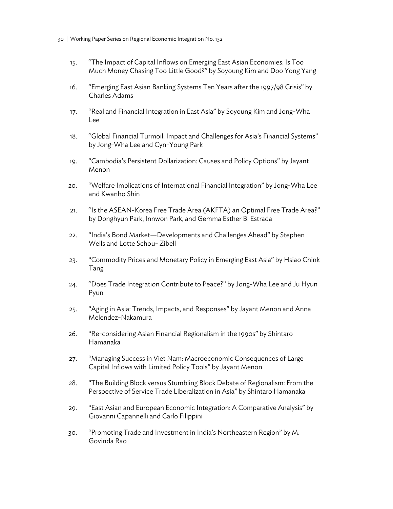- 30 | Working Paper Series on Regional Economic Integration No. 132
	- 15. "The Impact of Capital Inflows on Emerging East Asian Economies: Is Too Much Money Chasing Too Little Good?" by Soyoung Kim and Doo Yong Yang
	- 16. "Emerging East Asian Banking Systems Ten Years after the 1997/98 Crisis" by Charles Adams
	- 17. "Real and Financial Integration in East Asia" by Soyoung Kim and Jong-Wha Lee
	- 18. "Global Financial Turmoil: Impact and Challenges for Asia's Financial Systems" by Jong-Wha Lee and Cyn-Young Park
	- 19. "Cambodia's Persistent Dollarization: Causes and Policy Options" by Jayant Menon
	- 20. "Welfare Implications of International Financial Integration" by Jong-Wha Lee and Kwanho Shin
	- 21. "Is the ASEAN-Korea Free Trade Area (AKFTA) an Optimal Free Trade Area?" by Donghyun Park, Innwon Park, and Gemma Esther B. Estrada
	- 22. "India's Bond Market—Developments and Challenges Ahead" by Stephen Wells and Lotte Schou- Zibell
	- 23. "Commodity Prices and Monetary Policy in Emerging East Asia" by Hsiao Chink Tang
	- 24. "Does Trade Integration Contribute to Peace?" by Jong-Wha Lee and Ju Hyun Pyun
	- 25. "Aging in Asia: Trends, Impacts, and Responses" by Jayant Menon and Anna Melendez-Nakamura
	- 26. "Re-considering Asian Financial Regionalism in the 1990s" by Shintaro Hamanaka
	- 27. "Managing Success in Viet Nam: Macroeconomic Consequences of Large Capital Inflows with Limited Policy Tools" by Jayant Menon
	- 28. "The Building Block versus Stumbling Block Debate of Regionalism: From the Perspective of Service Trade Liberalization in Asia" by Shintaro Hamanaka
	- 29. "East Asian and European Economic Integration: A Comparative Analysis" by Giovanni Capannelli and Carlo Filippini
	- 30. "Promoting Trade and Investment in India's Northeastern Region" by M. Govinda Rao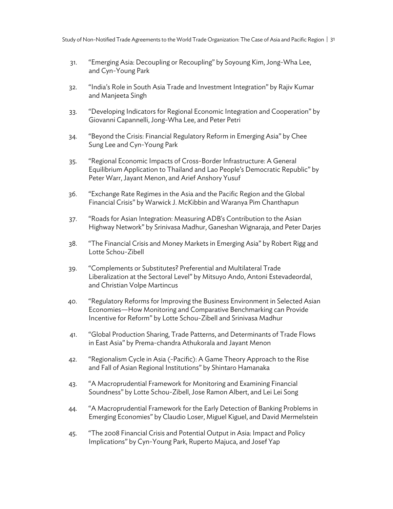- 31. "Emerging Asia: Decoupling or Recoupling" by Soyoung Kim, Jong-Wha Lee, and Cyn-Young Park
- 32. "India's Role in South Asia Trade and Investment Integration" by Rajiv Kumar and Manjeeta Singh
- 33. "Developing Indicators for Regional Economic Integration and Cooperation" by Giovanni Capannelli, Jong-Wha Lee, and Peter Petri
- 34. "Beyond the Crisis: Financial Regulatory Reform in Emerging Asia" by Chee Sung Lee and Cyn-Young Park
- 35. "Regional Economic Impacts of Cross-Border Infrastructure: A General Equilibrium Application to Thailand and Lao People's Democratic Republic" by Peter Warr, Jayant Menon, and Arief Anshory Yusuf
- 36. "Exchange Rate Regimes in the Asia and the Pacific Region and the Global Financial Crisis" by Warwick J. McKibbin and Waranya Pim Chanthapun
- 37. "Roads for Asian Integration: Measuring ADB's Contribution to the Asian Highway Network" by Srinivasa Madhur, Ganeshan Wignaraja, and Peter Darjes
- 38. "The Financial Crisis and Money Markets in Emerging Asia" by Robert Rigg and Lotte Schou-Zibell
- 39. "Complements or Substitutes? Preferential and Multilateral Trade Liberalization at the Sectoral Level" by Mitsuyo Ando, Antoni Estevadeordal, and Christian Volpe Martincus
- 40. "Regulatory Reforms for Improving the Business Environment in Selected Asian Economies—How Monitoring and Comparative Benchmarking can Provide Incentive for Reform" by Lotte Schou-Zibell and Srinivasa Madhur
- 41. "Global Production Sharing, Trade Patterns, and Determinants of Trade Flows in East Asia" by Prema-chandra Athukorala and Jayant Menon
- 42. "Regionalism Cycle in Asia (-Pacific): A Game Theory Approach to the Rise and Fall of Asian Regional Institutions" by Shintaro Hamanaka
- 43. "A Macroprudential Framework for Monitoring and Examining Financial Soundness" by Lotte Schou-Zibell, Jose Ramon Albert, and Lei Lei Song
- 44. "A Macroprudential Framework for the Early Detection of Banking Problems in Emerging Economies" by Claudio Loser, Miguel Kiguel, and David Mermelstein
- 45. "The 2008 Financial Crisis and Potential Output in Asia: Impact and Policy Implications" by Cyn-Young Park, Ruperto Majuca, and Josef Yap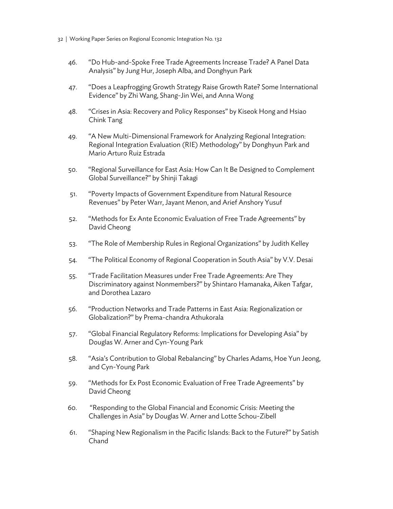- 32 | Working Paper Series on Regional Economic Integration No. 132
	- 46. "Do Hub-and-Spoke Free Trade Agreements Increase Trade? A Panel Data Analysis" by Jung Hur, Joseph Alba, and Donghyun Park
	- 47. "Does a Leapfrogging Growth Strategy Raise Growth Rate? Some International Evidence" by Zhi Wang, Shang-Jin Wei, and Anna Wong
	- 48. "Crises in Asia: Recovery and Policy Responses" by Kiseok Hong and Hsiao Chink Tang
	- 49. "A New Multi-Dimensional Framework for Analyzing Regional Integration: Regional Integration Evaluation (RIE) Methodology" by Donghyun Park and Mario Arturo Ruiz Estrada
	- 50. "Regional Surveillance for East Asia: How Can It Be Designed to Complement Global Surveillance?" by Shinji Takagi
	- 51. "Poverty Impacts of Government Expenditure from Natural Resource Revenues" by Peter Warr, Jayant Menon, and Arief Anshory Yusuf
	- 52. "Methods for Ex Ante Economic Evaluation of Free Trade Agreements" by David Cheong
	- 53. "The Role of Membership Rules in Regional Organizations" by Judith Kelley
	- 54. "The Political Economy of Regional Cooperation in South Asia" by V.V. Desai
	- 55. "Trade Facilitation Measures under Free Trade Agreements: Are They Discriminatory against Nonmembers?" by Shintaro Hamanaka, Aiken Tafgar, and Dorothea Lazaro
	- 56. "Production Networks and Trade Patterns in East Asia: Regionalization or Globalization?" by Prema-chandra Athukorala
	- 57. "Global Financial Regulatory Reforms: Implications for Developing Asia" by Douglas W. Arner and Cyn-Young Park
	- 58. "Asia's Contribution to Global Rebalancing" by Charles Adams, Hoe Yun Jeong, and Cyn-Young Park
	- 59. "Methods for Ex Post Economic Evaluation of Free Trade Agreements" by David Cheong
	- 60. "Responding to the Global Financial and Economic Crisis: Meeting the Challenges in Asia" by Douglas W. Arner and Lotte Schou-Zibell
	- 61. "Shaping New Regionalism in the Pacific Islands: Back to the Future?" by Satish Chand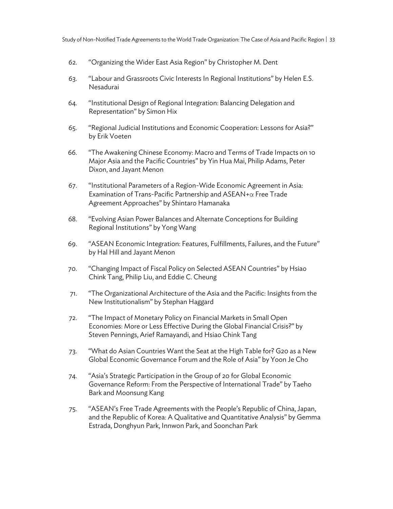- 62. "Organizing the Wider East Asia Region" by Christopher M. Dent
- 63. "Labour and Grassroots Civic Interests In Regional Institutions" by Helen E.S. Nesadurai
- 64. "Institutional Design of Regional Integration: Balancing Delegation and Representation" by Simon Hix
- 65. "Regional Judicial Institutions and Economic Cooperation: Lessons for Asia?" by Erik Voeten
- 66. "The Awakening Chinese Economy: Macro and Terms of Trade Impacts on 10 Major Asia and the Pacific Countries" by Yin Hua Mai, Philip Adams, Peter Dixon, and Jayant Menon
- 67. "Institutional Parameters of a Region-Wide Economic Agreement in Asia: Examination of Trans-Pacific Partnership and ASEAN+α Free Trade Agreement Approaches" by Shintaro Hamanaka
- 68. "Evolving Asian Power Balances and Alternate Conceptions for Building Regional Institutions" by Yong Wang
- 69. "ASEAN Economic Integration: Features, Fulfillments, Failures, and the Future" by Hal Hill and Jayant Menon
- 70. "Changing Impact of Fiscal Policy on Selected ASEAN Countries" by Hsiao Chink Tang, Philip Liu, and Eddie C. Cheung
- 71. "The Organizational Architecture of the Asia and the Pacific: Insights from the New Institutionalism" by Stephan Haggard
- 72. "The Impact of Monetary Policy on Financial Markets in Small Open Economies: More or Less Effective During the Global Financial Crisis?" by Steven Pennings, Arief Ramayandi, and Hsiao Chink Tang
- 73. "What do Asian Countries Want the Seat at the High Table for? G20 as a New Global Economic Governance Forum and the Role of Asia" by Yoon Je Cho
- 74. "Asia's Strategic Participation in the Group of 20 for Global Economic Governance Reform: From the Perspective of International Trade" by Taeho Bark and Moonsung Kang
- 75. "ASEAN's Free Trade Agreements with the People's Republic of China, Japan, and the Republic of Korea: A Qualitative and Quantitative Analysis" by Gemma Estrada, Donghyun Park, Innwon Park, and Soonchan Park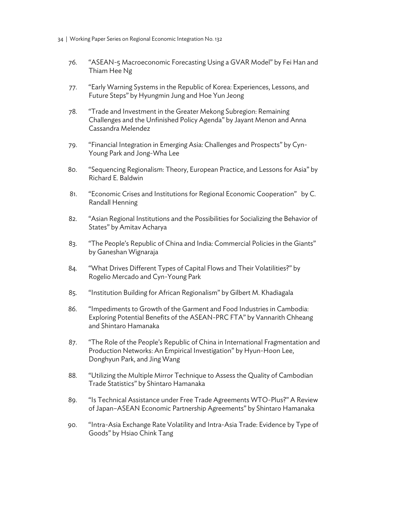- 34 | Working Paper Series on Regional Economic Integration No. 132
	- 76. "ASEAN-5 Macroeconomic Forecasting Using a GVAR Model" by Fei Han and Thiam Hee Ng
	- 77. "Early Warning Systems in the Republic of Korea: Experiences, Lessons, and Future Steps" by Hyungmin Jung and Hoe Yun Jeong
	- 78. "Trade and Investment in the Greater Mekong Subregion: Remaining Challenges and the Unfinished Policy Agenda" by Jayant Menon and Anna Cassandra Melendez
	- 79. "Financial Integration in Emerging Asia: Challenges and Prospects" by Cyn-Young Park and Jong-Wha Lee
	- 80. "Sequencing Regionalism: Theory, European Practice, and Lessons for Asia" by Richard E. Baldwin
	- 81. "Economic Crises and Institutions for Regional Economic Cooperation" by C. Randall Henning
	- 82. "Asian Regional Institutions and the Possibilities for Socializing the Behavior of States" by Amitav Acharya
	- 83. "The People's Republic of China and India: Commercial Policies in the Giants" by Ganeshan Wignaraja
	- 84. "What Drives Different Types of Capital Flows and Their Volatilities?" by Rogelio Mercado and Cyn-Young Park
	- 85. "Institution Building for African Regionalism" by Gilbert M. Khadiagala
	- 86. "Impediments to Growth of the Garment and Food Industries in Cambodia: Exploring Potential Benefits of the ASEAN-PRC FTA" by Vannarith Chheang and Shintaro Hamanaka
	- 87. "The Role of the People's Republic of China in International Fragmentation and Production Networks: An Empirical Investigation" by Hyun-Hoon Lee, Donghyun Park, and Jing Wang
	- 88. "Utilizing the Multiple Mirror Technique to Assess the Quality of Cambodian Trade Statistics" by Shintaro Hamanaka
	- 89. "Is Technical Assistance under Free Trade Agreements WTO-Plus?" A Review of Japan–ASEAN Economic Partnership Agreements" by Shintaro Hamanaka
	- 90. "Intra-Asia Exchange Rate Volatility and Intra-Asia Trade: Evidence by Type of Goods" by Hsiao Chink Tang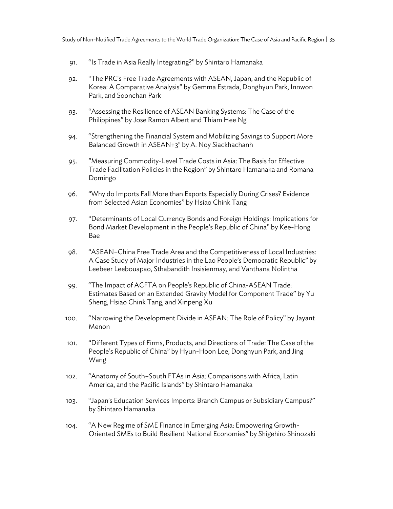- 91. "Is Trade in Asia Really Integrating?" by Shintaro Hamanaka
- 92. "The PRC's Free Trade Agreements with ASEAN, Japan, and the Republic of Korea: A Comparative Analysis" by Gemma Estrada, Donghyun Park, Innwon Park, and Soonchan Park
- 93. "Assessing the Resilience of ASEAN Banking Systems: The Case of the Philippines" by Jose Ramon Albert and Thiam Hee Ng
- 94. "Strengthening the Financial System and Mobilizing Savings to Support More Balanced Growth in ASEAN+3" by A. Noy Siackhachanh
- 95. "Measuring Commodity-Level Trade Costs in Asia: The Basis for Effective Trade Facilitation Policies in the Region" by Shintaro Hamanaka and Romana Domingo
- 96. "Why do Imports Fall More than Exports Especially During Crises? Evidence from Selected Asian Economies" by Hsiao Chink Tang
- 97. "Determinants of Local Currency Bonds and Foreign Holdings: Implications for Bond Market Development in the People's Republic of China" by Kee-Hong Bae
- 98. "ASEAN–China Free Trade Area and the Competitiveness of Local Industries: A Case Study of Major Industries in the Lao People's Democratic Republic" by Leebeer Leebouapao, Sthabandith Insisienmay, and Vanthana Nolintha
- 99. "The Impact of ACFTA on People's Republic of China-ASEAN Trade: Estimates Based on an Extended Gravity Model for Component Trade" by Yu Sheng, Hsiao Chink Tang, and Xinpeng Xu
- 100. "Narrowing the Development Divide in ASEAN: The Role of Policy" by Jayant Menon
- 101. "Different Types of Firms, Products, and Directions of Trade: The Case of the People's Republic of China" by Hyun-Hoon Lee, Donghyun Park, and Jing Wang
- 102. "Anatomy of South–South FTAs in Asia: Comparisons with Africa, Latin America, and the Pacific Islands" by Shintaro Hamanaka
- 103. "Japan's Education Services Imports: Branch Campus or Subsidiary Campus?" by Shintaro Hamanaka
- 104. "A New Regime of SME Finance in Emerging Asia: Empowering Growth-Oriented SMEs to Build Resilient National Economies" by Shigehiro Shinozaki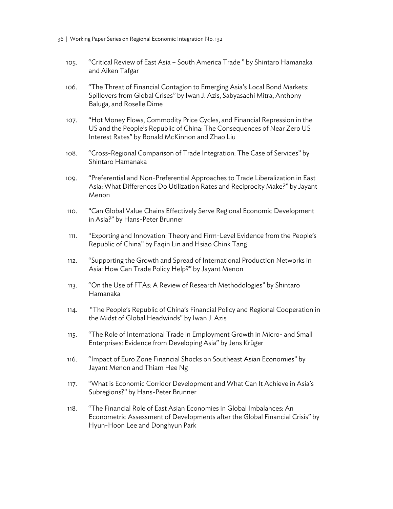- 36 | Working Paper Series on Regional Economic Integration No. 132
	- 105. "Critical Review of East Asia South America Trade " by Shintaro Hamanaka and Aiken Tafgar
	- 106. "The Threat of Financial Contagion to Emerging Asia's Local Bond Markets: Spillovers from Global Crises" by Iwan J. Azis, Sabyasachi Mitra, Anthony Baluga, and Roselle Dime
	- 107. "Hot Money Flows, Commodity Price Cycles, and Financial Repression in the US and the People's Republic of China: The Consequences of Near Zero US Interest Rates" by Ronald McKinnon and Zhao Liu
	- 108. "Cross-Regional Comparison of Trade Integration: The Case of Services" by Shintaro Hamanaka
	- 109. "Preferential and Non-Preferential Approaches to Trade Liberalization in East Asia: What Differences Do Utilization Rates and Reciprocity Make?" by Jayant Menon
	- 110. "Can Global Value Chains Effectively Serve Regional Economic Development in Asia?" by Hans-Peter Brunner
	- 111. "Exporting and Innovation: Theory and Firm-Level Evidence from the People's Republic of China" by Faqin Lin and Hsiao Chink Tang
	- 112. "Supporting the Growth and Spread of International Production Networks in Asia: How Can Trade Policy Help?" by Jayant Menon
	- 113. "On the Use of FTAs: A Review of Research Methodologies" by Shintaro Hamanaka
	- 114. "The People's Republic of China's Financial Policy and Regional Cooperation in the Midst of Global Headwinds" by Iwan J. Azis
	- 115. "The Role of International Trade in Employment Growth in Micro- and Small Enterprises: Evidence from Developing Asia" by Jens Krüger
	- 116. "Impact of Euro Zone Financial Shocks on Southeast Asian Economies" by Jayant Menon and Thiam Hee Ng
	- 117. "What is Economic Corridor Development and What Can It Achieve in Asia's Subregions?" by Hans-Peter Brunner
	- 118. "The Financial Role of East Asian Economies in Global Imbalances: An Econometric Assessment of Developments after the Global Financial Crisis" by Hyun-Hoon Lee and Donghyun Park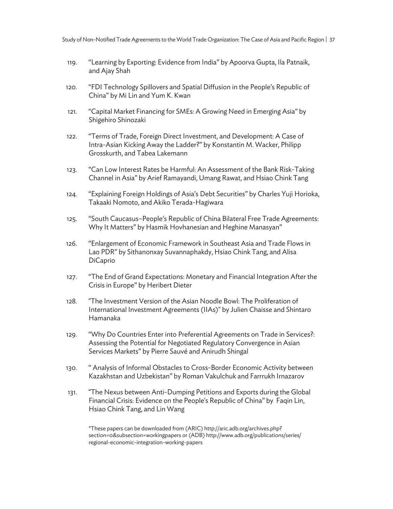- 119. "Learning by Exporting: Evidence from India" by Apoorva Gupta, Ila Patnaik, and Ajay Shah
- 120. "FDI Technology Spillovers and Spatial Diffusion in the People's Republic of China" by Mi Lin and Yum K. Kwan
- 121. "Capital Market Financing for SMEs: A Growing Need in Emerging Asia" by Shigehiro Shinozaki
- 122. "Terms of Trade, Foreign Direct Investment, and Development: A Case of Intra-Asian Kicking Away the Ladder?" by Konstantin M. Wacker, Philipp Grosskurth, and Tabea Lakemann
- 123. "Can Low Interest Rates be Harmful: An Assessment of the Bank Risk-Taking Channel in Asia" by Arief Ramayandi, Umang Rawat, and Hsiao Chink Tang
- 124. "Explaining Foreign Holdings of Asia's Debt Securities" by Charles Yuji Horioka, Takaaki Nomoto, and Akiko Terada-Hagiwara
- 125. "South Caucasus–People's Republic of China Bilateral Free Trade Agreements: Why It Matters" by Hasmik Hovhanesian and Heghine Manasyan"
- 126. "Enlargement of Economic Framework in Southeast Asia and Trade Flows in Lao PDR" by Sithanonxay Suvannaphakdy, Hsiao Chink Tang, and Alisa DiCaprio
- 127. "The End of Grand Expectations: Monetary and Financial Integration After the Crisis in Europe" by Heribert Dieter
- 128. "The Investment Version of the Asian Noodle Bowl: The Proliferation of International Investment Agreements (IIAs)" by Julien Chaisse and Shintaro Hamanaka
- 129. "Why Do Countries Enter into Preferential Agreements on Trade in Services?: Assessing the Potential for Negotiated Regulatory Convergence in Asian Services Markets" by Pierre Sauvé and Anirudh Shingal
- 130. " Analysis of Informal Obstacles to Cross-Border Economic Activity between Kazakhstan and Uzbekistan" by Roman Vakulchuk and Farrrukh Irnazarov
- 131. "The Nexus between Anti-Dumping Petitions and Exports during the Global Financial Crisis: Evidence on the People's Republic of China" by Faqin Lin, Hsiao Chink Tang, and Lin Wang

\*These papers can be downloaded from (ARIC) http://aric.adb.org/archives.php? section=0&subsection=workingpapers or (ADB) http://www.adb.org/publications/series/ regional-economic-integration-working-papers